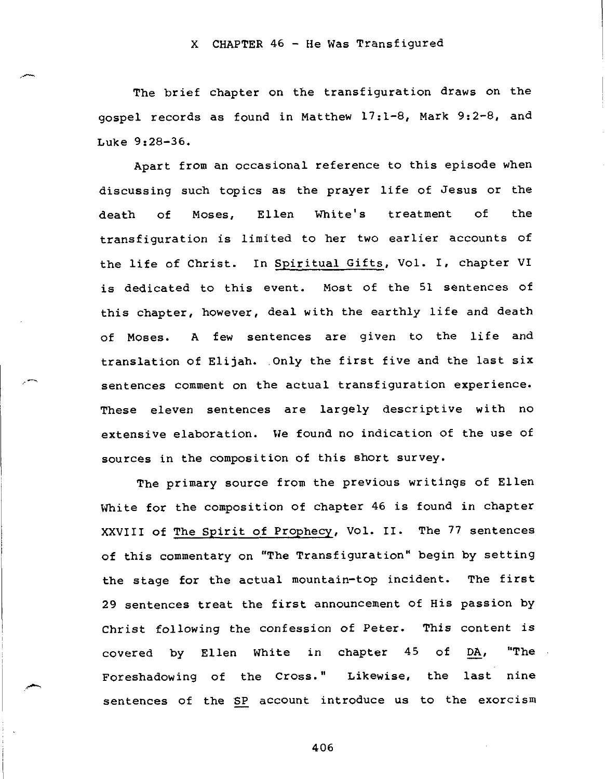### X CHAPTER 46 - He Was Transfigured

The brief chapter on the transfiguration draws on the gospel records as found in Matthew 17:1-8, Mark 9:2-8, and Luke 9:28-36.

Apart from an occasional reference to this episode when discussing such topics as the prayer life of Jesus or the death of Moses, Ellen White's treatment of the transfiguration is limited to her two earlier accounts of the life of Christ. In Spiritual Gifts, Vol. I, chapter VI is dedicated to this event. Most of the 51 sentences of this chapter, however, deal with the earthly life and death of Moses. A few sentences are given to the life and translation of Elijah. Only the first five and the last six sentences comment on the actual transfiguration experience. These eleven sentences are largely descriptive with no extensive elaboration. We found no indication of the use of sources in the composition of this short survey.

The primary source from the previous writings of Ellen White for the composition of chapter 46 is found in chapter XXVIII of The Spirit of Prophecy, Vol. II. The 77 sentences of this commentary on "The Transfiguration" begin by setting the stage for the actual mountain-top incident. 29 sentences treat the first announcement of His passion by Christ following the confession of Peter. This content is covered by Ellen White in chapter 45 of Foreshadowing of the Cross." Likewise, the The first DA, "The last nine sentences of the SP account introduce us to the exorcism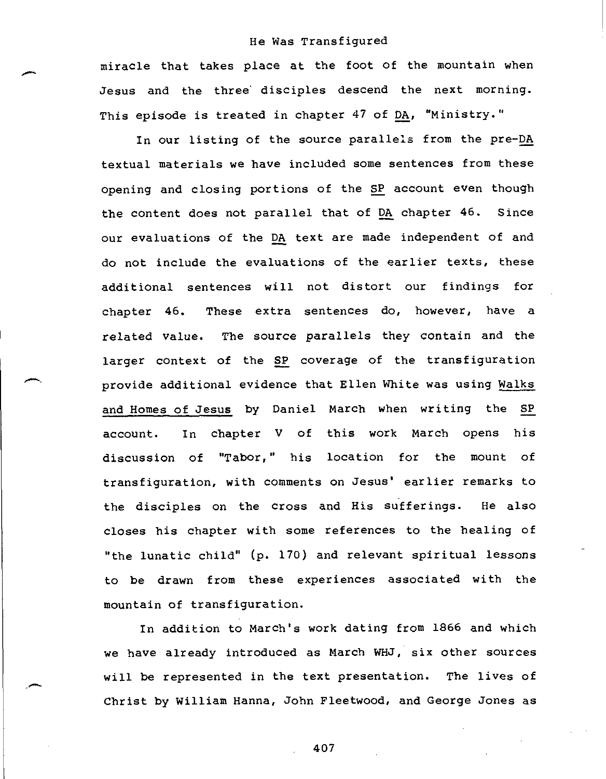miracle that takes place at the foot of the mountain when Jesus and the three' disciples descend the next morning. This episode is treated in chapter 47 of DA, "Ministry."

In our listing of the source parallels from the pre-DA textual materials we have included some sentences from these opening and closing portions of the SP account even though the content does not parallel that of DA chapter 46. Since our evaluations of the DA text are made independent of and do not include the evaluations of the earlier texts, these additional sentences will not distort our findings for chapter 46. These extra sentences do, however, have a related value. The source parallels they contain and the larger context of the SP coverage of the transfiguration provide additional evidence that Ellen White was using Walks and Homes of Jesus by Daniel March when writing the SP account. In chapter V of this work March opens his discussion of "Tabor," his location for the mount of transfiguration, with comments on Jesus' earlier remarks to the disciples on the cross and His sufferings. He also closes his chapter with some references to the healing of "the lunatic child" (p. 170) and relevant spiritual lessons to be drawn from these experiences associated with the mountain of transfiguration.

In addition to March's work dating from 1866 and which we have already introduced as March WHJ, six other sources will be represented in the text presentation. The lives of Christ by William Hanna, John Fleetwood, and George Jones as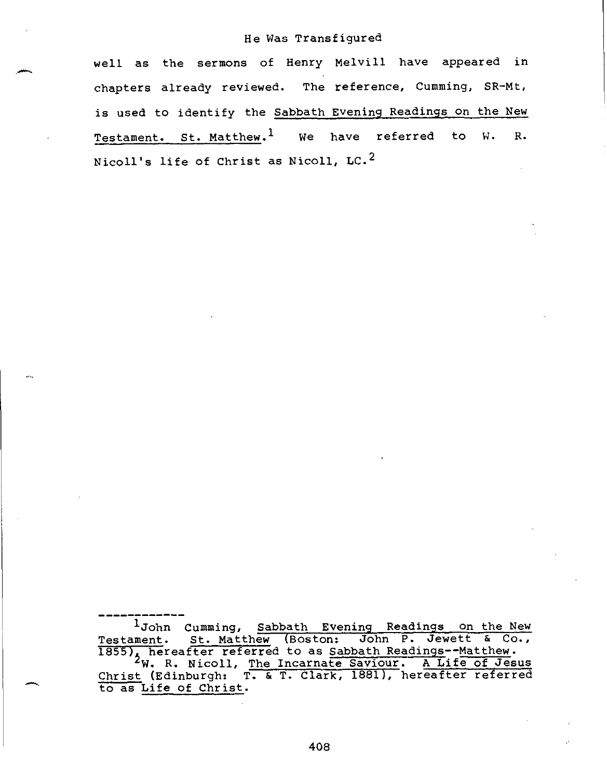well as the sermons of Henry Melvill have appeared in chapters already reviewed. The reference, Cumming, SR-Mt, is used to identify the Sabbath Evening Readings on the New Testament. St. Matthew.<sup>1</sup> We have referred to W. R. Nicoll's life of Christ as Nicoll, LC.2

1John Cumming, Sabbath Evening Readings on the New Testament. St. Matthew (Boston: John P. Jewett & Co., 1855), hereafter referred to as Sabbath Readings--Matthew.<br><sup>2</sup>W. R. Nicoll, <u>The Incarnate Saviour. A Life of Jesus</u> Christ (Edinburgh: T. & T. Clark, 1881), hereafter referred to as Life of Christ.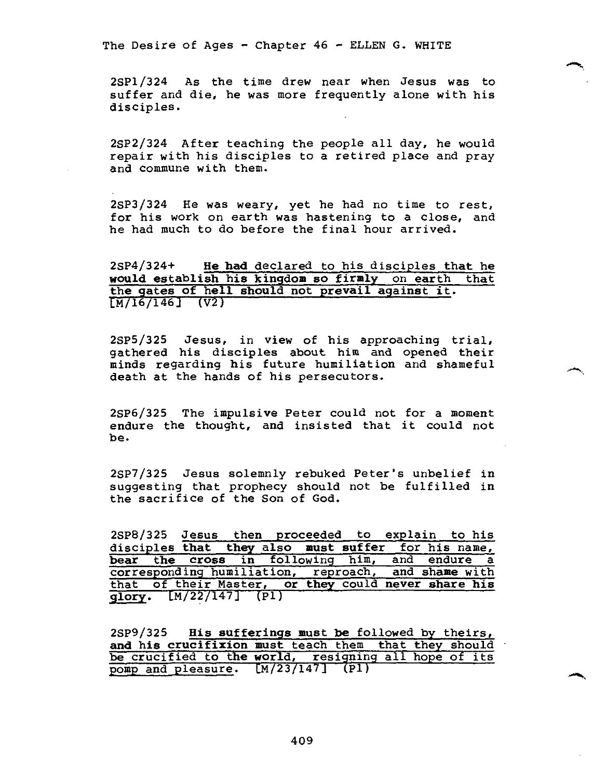2SP1/324 As the time drew near when Jesus was to suffer and die, he was more frequently alone with his disciples.

2SP2/324 After teaching the people all day, he would repair with his disciples to a retired place and pray and commune with them.

2SP3/324 He was weary, yet he had no time to rest, for his work on earth was hastening to a close, and he had much to do before the final hour arrived.

2SP4/324+ **He had** declared to his disciples **that he would establish his kingdom so firmly** on **earth that the gates of hell should not prevail against it.**   $[M/16/146]$  (V2)

2SP5/325 Jesus, in view of his approaching trial, gathered his disciples about him and opened their minds regarding his future humiliation and shameful death at the hands of his persecutors.

2SP6/325 The impulsive Peter could not for a moment endure the thought, and insisted that it could not be.

2SP7/325 Jesus solemnly rebuked Peter's unbelief in suggesting that prophecy should not be fulfilled in the sacrifice of the Son of God.

2SP8/325 Jesus then proceeded to explain to his disciples **that they** also **must suffer** for his name, bear the cross in following him, and endure a corresponding humiliation, reproach, and shame with corresponding humiliation, reproach, that of their Master, **or they** could **never share his glory.** CM/22/147] (P1)

28P9/325 **His sufferings must be** followed by theirs, **and his crucifixion must** teach them that they should be crucified **to the world,** resigning all hope of its pomp and pleasure. [M/23/147] (Pl)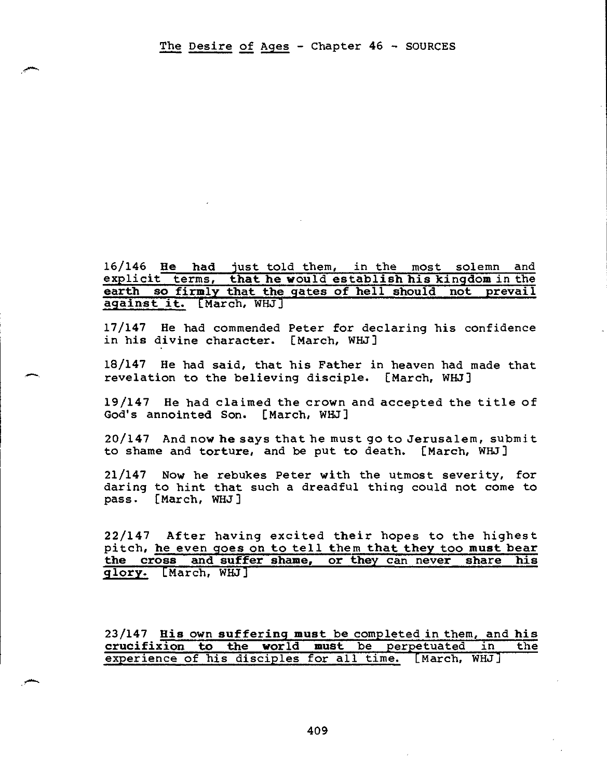16/146 He had just told them, in the most solemn and explicit terms, **that he** would **establish his kingdom** in the **earth so firmly that the gates of hell should not prevail against it.** [March, WHJ]

17/147 He had commended Peter for declaring his confidence in his divine character. [March, WHJ]

18/147 He had said, that his Father in heaven had made that revelation to the believing disciple. [March, WHJ]

19/147 He had claimed the crown and accepted the title of God's annointed Son. [March, WHJ]

20/147 And now he says that he must go to Jerusalem, submit to shame and torture, and be put to death. [March, WHJ]

21/147 Now he rebukes Peter with the utmost severity, for daring to hint that such a dreadful thing could not come to pass. [March, WHJ]

22/147 After having excited their hopes to the highest pitch, he even goes on to tell them **that they too must bear the cross and suffer shame, or they** can **never share his glory.** [March, WHJ]

23/147 **His** own **suffering must be** completed in them, **and his**  crucifixion to the world must be perpetuated in experience of his disciples for all time. [March, WHJ]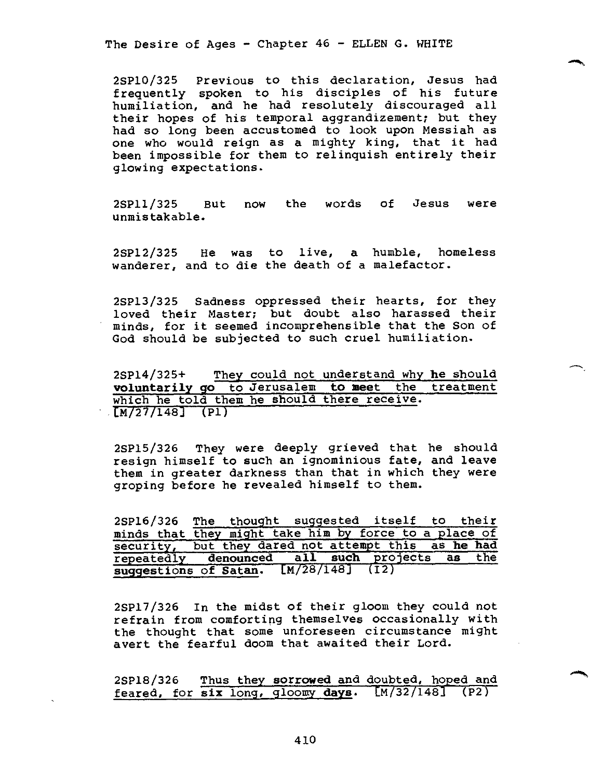2SP10/325 Previous to this declaration, Jesus had frequently spoken to his disciples of his future humiliation, and he had resolutely discouraged all their hopes of his temporal aggrandizement; but they had so long been accustomed to look upon Messiah as one who would reign as a mighty king, that it had been impossible for them to relinquish entirely their glowing expectations.

2SP11/325 But now the words of Jesus were unmistakable.

2SP12/325 He was to live, a humble, homeless wanderer, and to die the death of a malefactor.

2SP13/325 Sadness oppressed their hearts, for they loved their Master; but doubt also harassed their minds, for it seemed incomprehensible that the Son of God should be subjected to such cruel humiliation.

2SP14/325+ They could not understand why **he** should **voluntarily go** to Jerusalem **to meet** the treatment which he told them he should there receive.  $[M/27/148]$  (P1)

2SP15/326 They were deeply grieved that he should resign himself to such an ignominious fate, and leave them in greater darkness than that in which they were groping before he revealed himself to them.

2SP16/326 The thought suggested itself to their minds that they might take him by force to a place of security, but they dared not attempt this as **he had**  repeatedly **denounced all such** projects **as** the **suggestions of Satan.** Cm/28/148] (12)

2SP17/326 In the midst of their gloom they could not refrain from comforting themselves occasionally with the thought that some unforeseen circumstance might avert the fearful doom that awaited their Lord.

2SP18/326 Thus they **sorrowed** and doubted, hoped and feared, for **six** long, gloomy **days.** [M/32/148] (P2)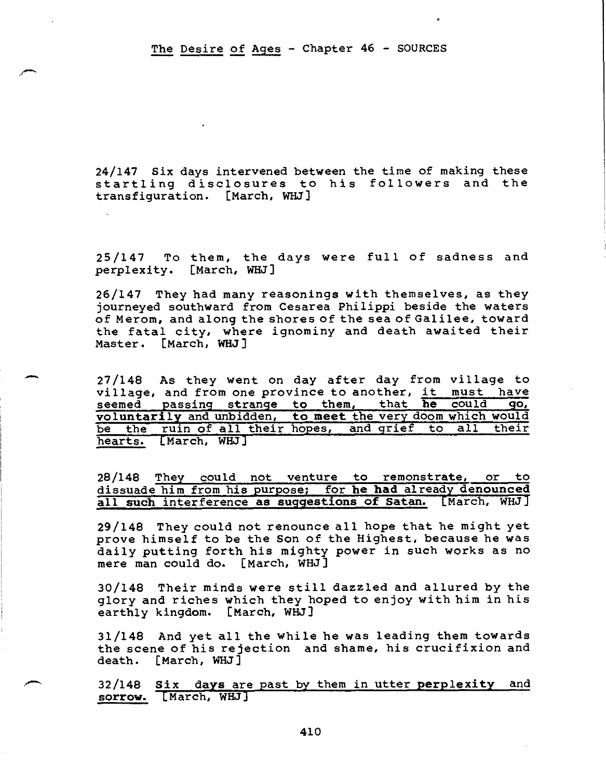### The Desire of Ages - Chapter 46 - SOURCES

24/147 Six days intervened between the time of making these startling disclosures to his followers and the transfiguration. [March, WHJ]

25/147 To them, the days were full of sadness and perplexity. [March, WHJ]

26/147 They had many reasonings with themselves, as they journeyed southward from Cesarea Philippi beside the waters of Merom, and along the shores of the sea of Galilee, toward the fatal city, where ignominy and death awaited their Master. [March, WHJ]

27/148 As they went on day after day from village to<br>village, and from one province to another, it must have village, and from one province to another, it seemed passing strange to them, that **he** could **go, voluntarily** and unbidden, **to meet** the very doom which would be the ruin of all their hopes, and grief to all their hearts. [March, WHJ]

28/148 They could not venture to remonstrate, or to dissuade him from his purpose; for **he had** already **denounced all such** interference **as suggestions of Satan.** [March, WHJ]

29/148 They could not renounce all hope that he might yet prove himself to be the Son of the Highest, because he was daily putting forth his mighty power in such works as no mere man could do. [March, WHJ]

30/148 Their minds were still dazzled and allured by the glory and riches which they hoped to enjoy with him in his earthly kingdom. [March, WHJ]

31/148 And yet all the while he was leading them towards the scene of his rejection and shame, his crucifixion and death. [March, WHJ]

32/148 **Six days** are past by them in utter **perplexity** and **sorrow.** [March, WHJ]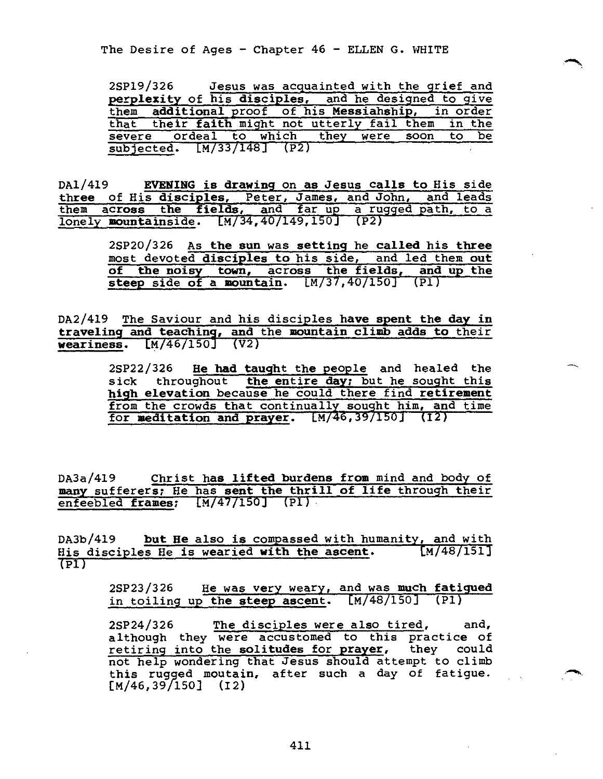| 2SP19/326                                            | Jesus was acquainted with the grief and |  |
|------------------------------------------------------|-----------------------------------------|--|
| perplexity of his disciples, and he designed to give |                                         |  |
| them additional proof of his Messiahship, in order   |                                         |  |
| that their faith might not utterly fail them in the  |                                         |  |
| severe ordeal to which they were soon to be          |                                         |  |
| subjected. [M/33/148] (P2)                           |                                         |  |

DA1/419 **EVENING is drawing** on as Jesus **calls to** His side **three** of His **disciples,** Peter, James, and John, and leads them **across the fields,** and far up a rugged path, to a lonely **mountainside.** [M/34,40/149,150] (P2)

> 2SP20/326 As **the sun** was setting he **called his three**  most devoted disciples to his side, and led them **out of the noisy town, across the fields, and up the steep** side **of a mountain.** [M/37,40/150] (P1)

DA2/419 The Saviour and his disciples **have spent the day in traveling and teaching, and** the **mountain climb adds to** their **weariness.** [M/46/150] (V2)

> 2SP22/326 **He had taught** the peopleand healed the sick throughout **the entire day;** but he sought this **high elevation** because he could there find **retirement**  from the crowds that continually sought him, and time for meditation and prayer. [M/46,39/150] (I2)

DA3a/419 Christ **has lifted burdens from** mind and body of **many** sufferers; He has **sent the thrill of life** through their enfeebled **frames;** [M/47/150] (PI)

DA3b/419 **but He** also **is** compassed with humanity, and with His disciples He is wearied **with the ascent.** [M/48/151]  $(TPI)$ 

> 2SP23/326 He was very weary, and was **much fatigued**  in toiling up **the steep ascent.** [M/48/150] (P1)

> 2SP24/326 The disciples were also tired, and, although they were accustomed to this practice of retiring into the solitudes for prayer, they could not help wondering that Jesus should attempt to climb this rugged moutain, after such a day of fatigue.  $[M/46, 39/150]$  (I2)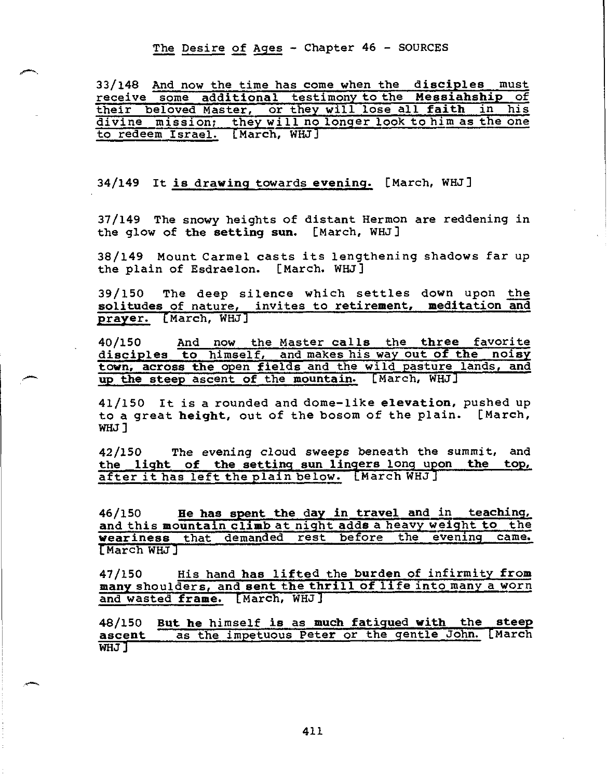The Desire of Ages - Chapter 46 - SOURCES

33/148 And now the time has come when the **disciples** must receive some **additional** testimony to the **Messiahship** of their beloved Master, or they will lose all **faith** in his divine mission; they will no longer look to him as the one to redeem Israel. [March, WHJJ

34/149 It **is drawing** towards evening. [March, WHJ]

37/149 The snowy heights of distant Hermon are reddening in the glow of **the setting sun.** [March, WHJ]

38/149 Mount Carmel casts its lengthening shadows far up the plain of Esdraelon. [March. WHJ]

39/150 The deep silence which settles down upon the **solitudes** of nature, invites to **retirement, meditation and prayer.** (March, WHJ]

40/150 And now the Master **calls** the **three** favorite **disciples to** himself, and makes his way **out of the noisy town, across the** open fields and the wild pasture lands, **and up the steep** ascent **of** the **mountain.** [March, WHJ]

41/150 It is a rounded and dome-like **elevation,** pushed up to a great **height,** out of the bosom of the plain. [March, WHJ ]

42/150 The evening cloud sweeps beneath the summit, and **the light of the setting sun lingers long upon the top,**  after it has left the plain below. [March WHJ]

46/150 **He has spent the day in travel and** in **teaching, and** this **mountain climb** at night adds a heavy weight to the weariness that demanded rest before the evening came. [March WHJ]

47/150 His hand **has lifted the burden of infirmity from many** shoulders, and **sent the thrill of life into many** a worn and wasted **frame.** [March, WHJ]

**48/150 But he** himself **is** as **much fatigued with the steep**  as the impetuous Peter or the gentle John. [March WHJ]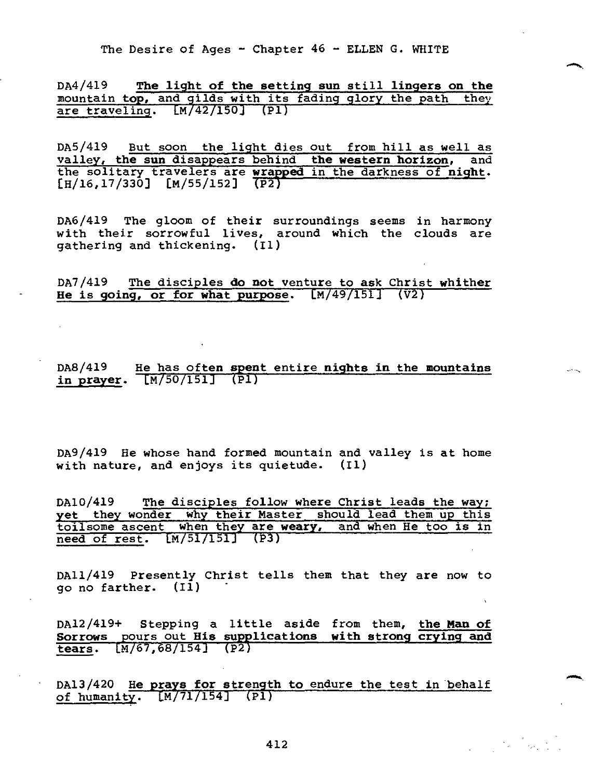DA4/419 **The light of the setting sun** still **lingers on the**  mountain top, and gilds with its fading glory the path they are traveling.  $[M/42/150]$  (P1)

DA5/419 But soon the light dies out from hill as well as valley, **the sun** disappears behind **the western horizon,** and the solitary travelers are **wrapped** in the darkness of **night.**   $[H/16, 17/330]$   $[M/55/152]$   $\overline{(P2)}$ 

DA6/419 The gloom of their surroundings seems in harmony with their sorrowful lives, around which the clouds are gathering and thickening. (I1)

DA7/419 The disciples **do not** venture to **ask** Christ **whither He is going, or for what purpose.** CM/49/151] (V2)

DA8/419 He has often **spent** entire **nights in** the **mountains in prayer.** [4/50/151] (P1)

DA9/419 He whose hand formed mountain and valley is at home with nature, and enjoys its quietude. (II)

DA10/419 The disciples follow where Christ leads the way; **yet** they wonder why their Master should lead them up this toilsome ascent when they are **weary,** and when He too is in need of rest. CM/51/151j (P3)

DA11/419 Presently Christ tells them that they are now to go no farther. (I1)

DA12/419+ Stepping a little aside from them, **the Man of Sorrows** \_pours out **His supplications with strong crying and tears.** EM/67,68/154] (P2)

DA13/420 **He\_prays for strength to** endure the test in behalf of humanity.  $[M/71/154]$  (P1)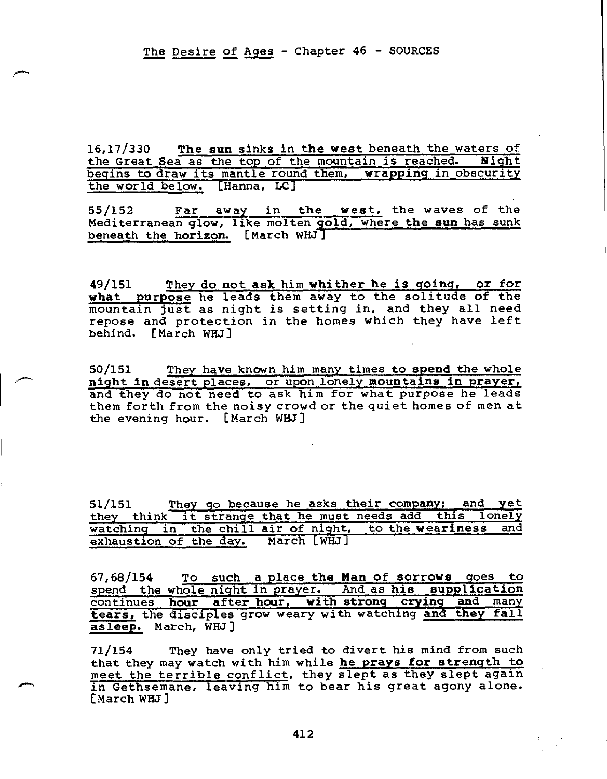16,17/330 The sun sinks in the west beneath the waters of the Great Sea as the top of the mountain is reached. Night the Great Sea as the top of the mountain is reached. begins to draw its mantle round them, **wrapping** in obscurity the world below. [Hanna, LC]

55/152 Far awayin **the west,** the waves of the Mediterranean glow, like molten **gold,** where **the sun** has sunk beneath the **horizon.** [March WHJ]

49/151 They **do not ask** him **whither he is going, or for what purpose** he leads them away to the solitude of the mountain just as night is setting in, and they all need repose and protection in the homes which they have left behind. [March WHJ]

50/151 They have known him many times to **spend** the whole **night in** desert places, or upon lonely **mountains in prayer,**  and they do not need to ask him for what purpose he leads them forth from the noisy crowd or the quiet homes of men at the evening hour. [March WHJ]

51/151 They go because he asks their company; and **yet**  they think it strange that he must needs add this lonely watching in the chill air of night, to the **weariness** and exhaustion of the day.

67,68/154 To such **a** place **the Man of sorrows** goes to spend the whole night in prayer. And as **his supplication**  continues **hour after hour, with strong crying and** many **tears,** the disciples grow weary with watching **and they fall asleep.** March, WHJ]

71/154 They have only tried to divert his mind from such that they may watch with him while **he prays for strength to**  meet the terrible conflict, they slept as they slept again in Gethsemane, leaving him to bear his great agony alone. [March WHJ]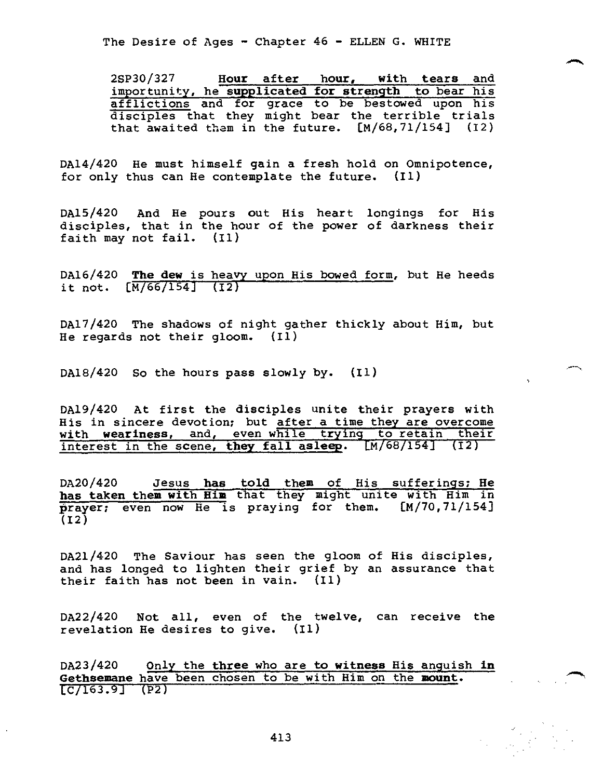2SP30/327 **Hour after hour, with tears** and importunity, he **supplicated for strength to** bear his afflictions and for grace to be bestowed upon his disciples that they might bear the terrible trials that awaited them in the future. [M/68,71/154] (I2)

DA14/420 He must himself **gain** a fresh hold on Omnipotence, for only thus can He contemplate the future. (I1)

DA15/420 And He pours out His heart longings for His disciples, that in the hour of the power of darkness their faith may not fail. (II)

DA16/420 **The dew** is heavy upon His bowed form, but He heeds it not. [M/66/154] (I2)

DA17/420 The shadows of night gather thickly about Him, but He regards not their gloom. (I1)

DA18/420 So the hours pass slowly by. (Ii)

DA19/420 At first the disciples unite their prayers with His in sincere devotion; but after a time they are overcome with weariness, and, even while trying to retain their interest in the scene, **they fall asleep.** Im/68/154] (12)

DA20/420 Jesus **has told them** of His sufferings; **He has taken them with Him** that they might unite with Him in **prayer;** even now He is praying for them. [M/70,71/154]  $(12)$ 

DA21/420 The Saviour has seen the gloom of His disciples, and has longed to lighten their grief by an assurance that their faith has not been in vain. (I1)

DA22/420 Not all, even of the twelve, can receive the revelation He desires to give. (I1)

DA23/420 Only the **three** who are **to witness** His anguish **in Gethsemane** have been chosen to be with Him on the **mount.**  [C/163.9] (p2)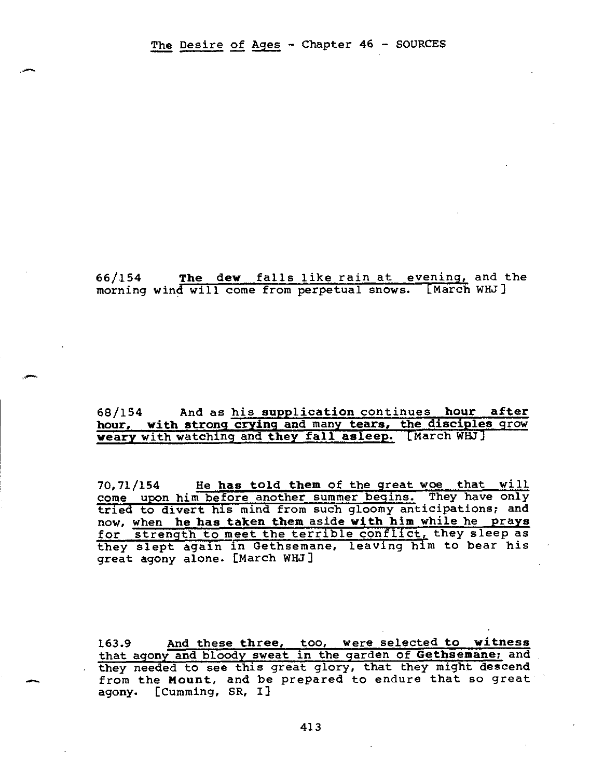### 66/154 The dew falls like rain at evening, and the morning wind will come from perpetual snows. [March WHJ]

### 68/154 And as his **supplication** continues **hour after hour, with strong crying and** many **tears, the disciples** grow weary with watching and **they fall asleep.** [March WHJ]

70,71/154 He **has told them** of the great woe that will come upon him before another summer begins. They have only tried to divert his mind from such gloomy anticipations; and now, when **he has taken them** aside **with him** while he **prays**  for strength to meet the terrible conflict, they sleep as they slept again in Gethsemane, leaving him to bear his great agony alone. [March WHJ]

163.9 And these **three,** too, were selected **to witness**  that agony and bloody sweat in the garden of **Gethsemane;** and they needed to see this great glory, that they might descend from the **Mount,** and be prepared to endure that so great agony. [Cumming, SR, I]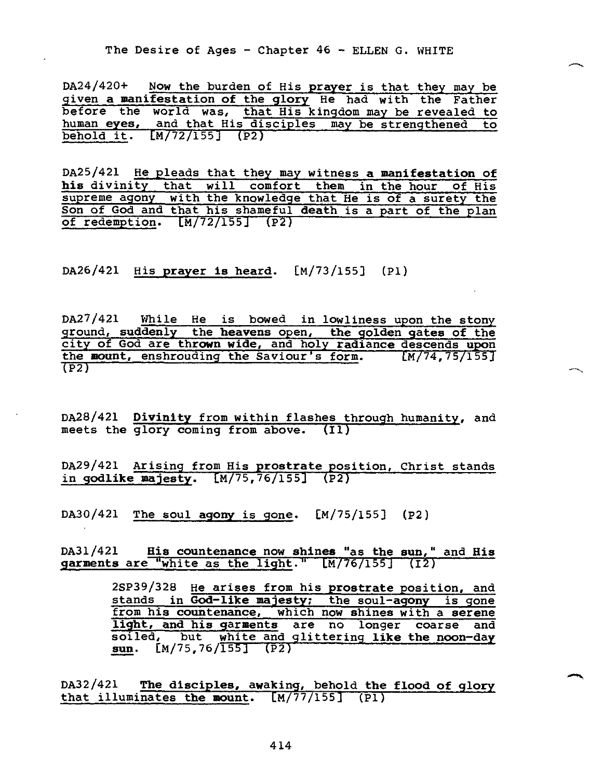DA24/420+ Now the burden of His **prayer** is that they may be given **a manifestation of** the **glory** He had with the Father before the world was, that His kingdom may be revealed to human **eyes,** and that His disciples may be strengthened to  $[M/72/155]$  (P2)

DA25/421 He pleads that they may witness **a manifestation of his** divinity that will comfort them in the hour of His supreme agony with the knowledge that He is of a surety the Son of God and that his shameful **death** is a part of the plan of redemption. [M/72/155] (P2)

DA26/421 His **prayer is heard.** [M/73/155] (P1)

DA27/421 While He is bowed in lowliness upon the stony ground, **suddenly** the **heavens** open, **the golden gates of** the city of God are **thrown wide,** and holy **radiance** descends **upon**  the mount, enshrouding the Saviour's form. [M/74,75/155] (P2)

DA28/421 **Divinity** from within flashes through humanity, and meets the glory coming from above. (I1)

DA29/421 Arising from His **prostrate position,** Christ stands in **godlike majesty.** [M/75,76/155] (P2)

DA30/421 The soul **agony** is gone. [M/75/155] (P2)

DA31/421 **His countenance** now **shines** "as **the sun,"** and **His garments** are "white as the **light."** [m/76/155] (12)

> 2SP39/328 He arises from his **prostrate** position, and stands in **God-like majesty;** the soul-agony is gone from **his countenance,** which now **shines** with a **serene light, and his garments** are no longer coarse and soiled, but white and glittering **like the noon-day sun.** [M/75,76/155] (P2)

DA32/421 **The disciples, awaking,** behold **the flood of glory**  that illuminates the mount.  $[M/77/155]$   $(PI)$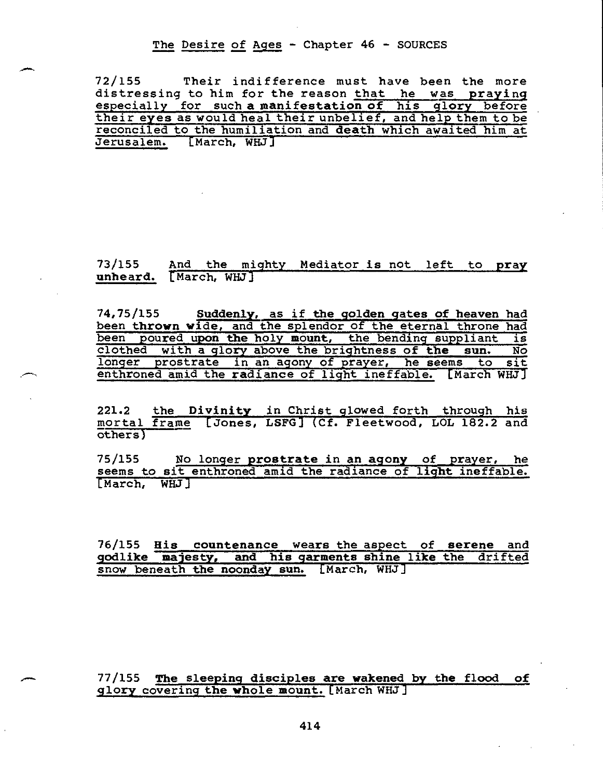The Desire of Ages - Chapter 46 - SOURCES

72/155 Their indifference must have been the more distressing to him for the reason that he was praying especially for such **a manifestation of his glory** before their **eyes** as would heal their unbelief, and help them to be reconciled to the humiliation and **death** which awaited him at Jerusalem. [March, WHJ]

### 73/155 And the mighty Mediator **is** not left to **pray unheard.** [March, WHJ]

74,75/155 **Suddenly,** as if **the golden gates of heaven** had been **thrown wide,** and the splendor of the eternal throne had been poured **upon the** holy **mount,** the bending suppliant is clothed with a glory above the brightness **of the sun.** No longer prostrate in an agony of prayer, he seems to sit enthroned amid the **radiance** of light ineffable. [March WHJ]

221.2 the **Divinity** in Christ glowed forth through his mortal frame [Jones, LSFG]- (Cf. Fleetwood, LOL 182.2 and others)

75/155 No longer **prostrate** in an **agony** of prayer, he seems to sit enthroned amid the radiance of **light** ineffable. [March, WHJ]

76/155 **His countenance wears the aspect of serene** and **godlike majesty, and his garments shine like the** drifted snow beneath **the noonday sun.** [March, WHJ]

### 77/155 **The sleeping disciples are wakened by the flood of glory** covering **the whole mount.** [March WHJ]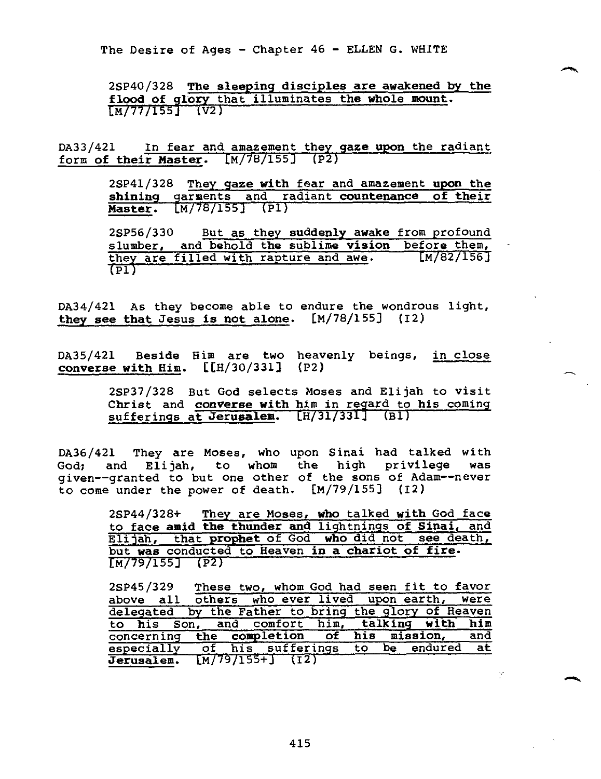2SP40/328 **The sleeping disciples are awakened by the flood of glory** that illuminates **the whole mount.**   $[M/77/155]$  (V2)

DA33/421 In fear and amazement they **gaze upon** the radiant form **of their Master.** [M/78/155] (P2)

> 2SP41/328 They **gaze with** fear and amazement **upon the shining** garments and radiant **countenance of their Master.** [M/78/155] (P1)

> 2SP56/330 But as they **suddenly awake** from profound slumber, and behold the sublime **vision** before them,<br>they are filled with rapture and awe. [M/82/156] they are filled with rapture and awe.  $\overline{\text{F1}}$

DA34/421 As they become able to endure the wondrous light, **they see that** Jesus **is not alone.** [M/78/155] (I2)

DA35/421 Beside Him are two heavenly beings, in close **converse with** Him. [[H/30/331] (P2)

> 2SP37/328 But God selects Moses and Elijah to visit Christ and **converse with** him in regard to his coming sufferings at Jerusalem. [H/31/331] (BI)

DA36/42I They are Moses, who upon Sinai had talked with God; and Elijah, to whom the high privilege was given--granted to but one other of the sons of Adam--never to come under the power of death. [M/79/155] (12)

> 2SP44/328+ They are Moses, **who** talked **with** God face to face **amid the thunder and** lightnings **of Sinai,** and Elijah, that **prophet** of God **who** did not see death, but **was** conducted to Heaven **in a chariot of fire.**  [M/79/155] (P2)

2SP45/329 These two, whom God had seen fit to favor<br>above all others who ever lived upon earth, were above all others who ever lived upon earth, delegated by the Father to bring the glory of Heaven to his Son, and comfort him, **talking with him**  concerning **the completion of his mission,** and especially of his sufferings to be endured at **Jerusalem.** [M/79/155+] (I2)

Ŷ.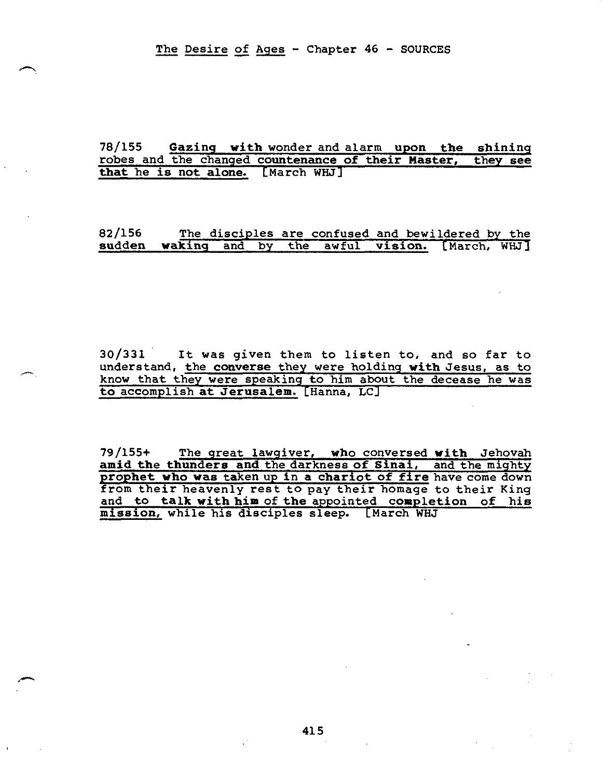The Desire of Ages - Chapter 46 - SOURCES

### **78/155 Gazing with** wonder and alarm **upon the shining**  robes and the changed countenance of their Master, **that he is not alone. [March WHJ]**

**82/156 The disciples are confused and** bewildered by the **sudden waking and by the awful vision.** [March, WHJ]

30/331 It was given them to listen to, and so far to understand, the **converse they were** holding **with** Jesus, as to know that they were speaking to him about the decease he was **to** accomplish **at Jerusalem. [Hanna, LC]** 

**79/155+ The great lawgiver, who** conversed **with Jehovah amid the thunders and the darkness of Sinai, and the mighty prophet who was taken up in a chariot of fire have comedown**  from their heavenly rest to pay their homage to their King and to **talk with him** of **the** appointed **completion of his mission,** while his disciples sleep. [March WHJ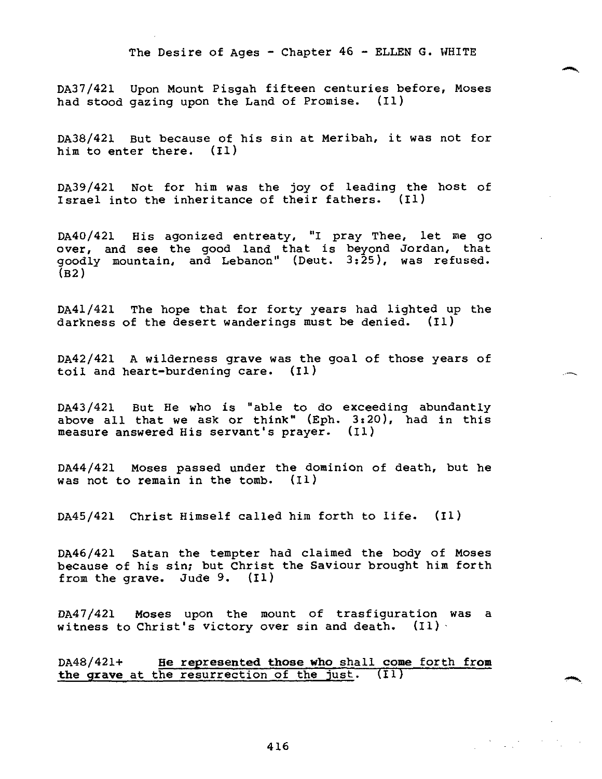DA37/421 Upon Mount Pisgah fifteen centuries before, Moses had stood gazing upon the Land of Promise. (I1)

DA38/421 But because of his sin at Meribah, it was not for him to enter there. (II)

DA39/421 Not for him was the joy of leading the host of Israel into the inheritance of their fathers. (I1)

DA40/421 His agonized entreaty, "I pray Thee, let me go over, and see the good land that is beyond Jordan, that goodly mountain, and Lebanon" (Deut. 3:25), was refused.  $(B2)$ 

DA41/421 The hope that for forty years had lighted up the darkness of the desert wanderings must be denied. (II)

DA42/421 A wilderness grave was the goal of those years of toil and heart-burdening care. (I1)

DA43/421 But He who is "able to do exceeding abundantly above all that we ask or think" (Eph. 3:20), had in this measure answered His servant's prayer. (II)

DA44/421 Moses passed under the dominion of death, but he was not to remain in the tomb. (I1)

DA45/421 Christ Himself called him forth to life. (I1)

DA46/421 Satan the tempter had claimed the body of Moses because of his sin; but Christ the Saviour brought him forth from the grave. Jude 9. (I1)

DA47/421 Moses upon the mount of trasfiguration was a witness to Christ's victory over sin and death.  $(11)$ .

DA48/421+ **He represented those who** shall **come** forth **from the grave** at the resurrection of the just. (II)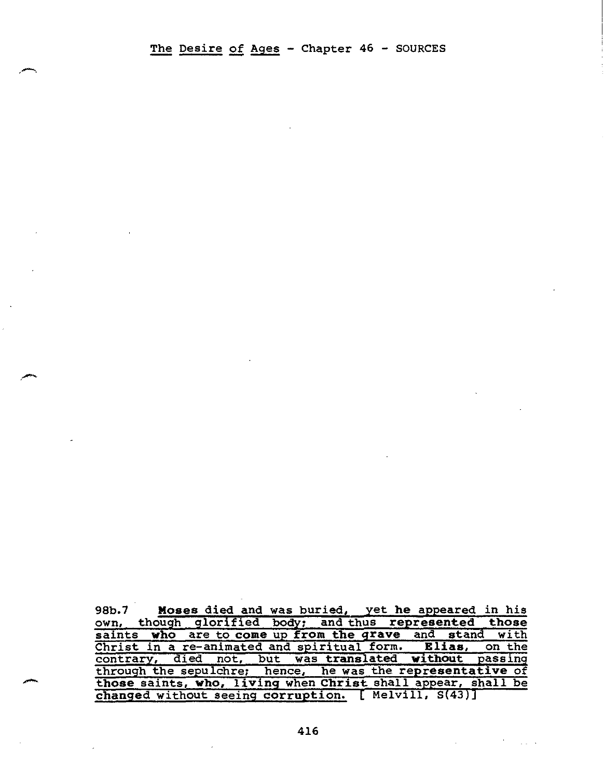98b.7 **Moses died and was buried, yet he appeared in his** own, though glorified body; and thus represented those saints **who** are to come up from the grave and stand with Christ in a re-animated and spiritual form. **Elias,** on the contrary, died not, but was translated **without** passing through the sepulchre; hence, he was the representative of those saints, **who, living** when **Christ** shall appear, shall be changed without seeing corruption. [ Melvill, S(43)]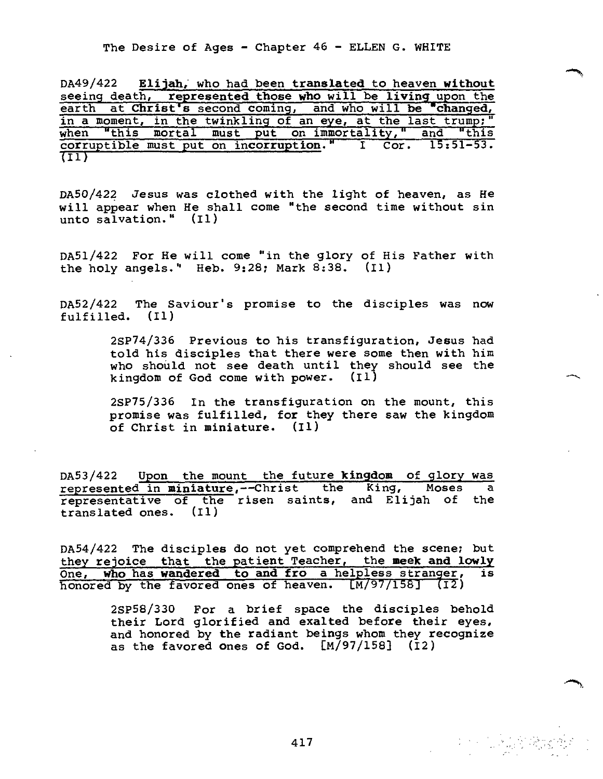DA49/422 **Elijah,** who had been **translated** to heaven **without**  seeing death, **represented those who will be living upon the** earth at **Christ's** second coming, and who will be "changed, in a moment, in the twinkling of an eye, at the last trump;" when "this mortal must put on immortality," and "this corruptible must put on **incorruption."** I Cor. 15:51-53. (II)

DA50/422 Jesus was clothed with the light of heaven, as He will appear when He shall come "the second time without sin unto salvation." (I1)

DA51/422 For He will come "in the glory of His Father with the holy angels." Heb. 9:28; Mark 8:38. (II)

DA52/422 The Saviour's promise to the disciples was now fulfilled. (Ii)

> 2SP74/336 Previous to his transfiguration, Jesus had told his disciples that there were some then with him who should not see death until they should see the kingdom of God come with power. (I1)

> 2SP75/336 In the transfiguration on the mount, this promise was fulfilled, for they there saw the kingdom of Christ in miniature. (Ii)

DA53/422 Upon the mount the future **kingdom** of glory was represented in miniature,--Christ the King, Moses a representative of the risen saints, and Elijah of the translated ones. (I1)

DA54/422 The disciples do not yet comprehend the scene; but they rejoice that the patient Teacher, the meek and lowly<br>One. Who has wandered to and fro a helpless stranger, is One, who has wandered to and fro a helpless stranger, honored by the favored ones of heaven. [M/97/158] (I2)

> 2SP58/330 For a brief space the disciples behold their Lord glorified and exalted before their eyes, and honored by the radiant beings whom they recognize as the favored ones of God. [M/97/158] (I2)

417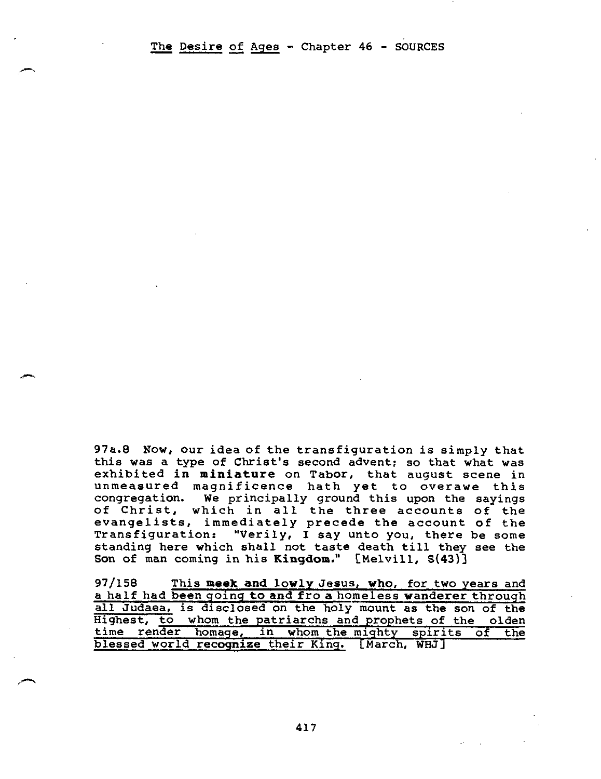97a.8 Now, our idea of the transfiguration is simply that this was a type of Christ's second advent; so that what was exhibited **in miniature** on Tabor, that august scene in unmeasured magnificence hath yet to overawe this congregation. We principally ground this upon the sayings of Christ, which in all the three accounts of the evangelists, immediately precede the account of the Transfiguration: "Verily, I say unto you, there be some standing here which shall not taste death till they see the Son of man coming in his **Kingdom."** [Melvill, S(43)]

97/158 This **meek and lowly** Jesus, who, for two years and a half had been going to and fro a homeless **wanderer** through all Judaea, is disclosed on the holy mount as the son of the Highest, to whom the patriarchs and prophets of the olden time render homage, in whom the mighty spirits of the blessed world **recognize** their King. [March, WHJ]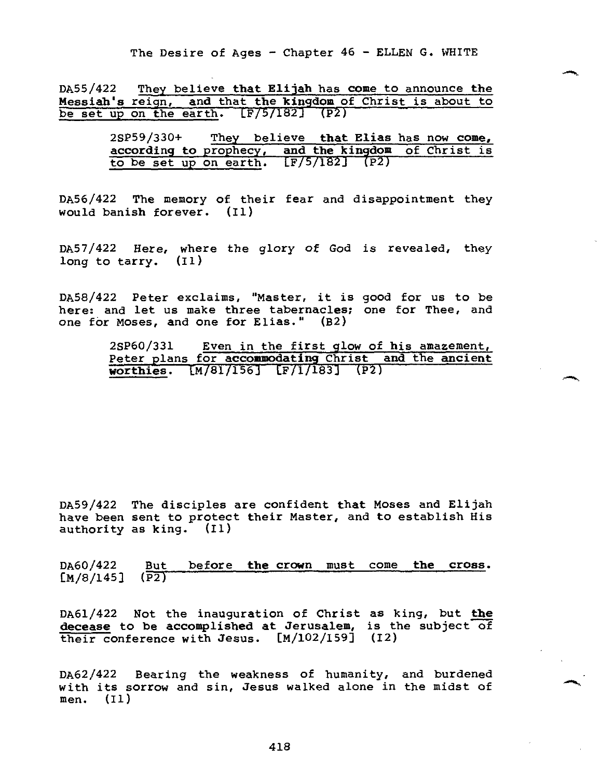DA55/422 They believe that Elijah has come to announce the Messiah's reign, and that the kingdom of Christ is about to be set up on the earth. [F/5/182] (P2)

| $2SP59/330+$                                        | They believe that Elias has now come, |                        |  |  |
|-----------------------------------------------------|---------------------------------------|------------------------|--|--|
| according to prophecy, and the kingdom of Christ is |                                       |                        |  |  |
| to be set up on earth.                              |                                       | $\boxed{F/5/182}$ (P2) |  |  |

DA56/422 The memory of their fear and disappointment they would banish forever. (II)

DA57/422 Here, where the glory of God is revealed, they long to tarry. (Ii)

DA58/422 Peter exclaims, "Master, it is good for us to be here: and let us make three tabernacles; one for Thee, and one for Moses, and one for Elias." (B2)

| 2SP60/331                                            |  |  |  | Even in the first glow of his amazement. |  |
|------------------------------------------------------|--|--|--|------------------------------------------|--|
| Peter plans for accommodating Christ and the ancient |  |  |  |                                          |  |
| worthies. $[M/81/156]$ $[F/1/183]$ $(P2)$            |  |  |  |                                          |  |

DA59/422 The disciples are confident that Moses and Elijah have been sent to protect their Master, and to establish His authority as king. (II)

DA60/422 But before **the crown** must come **the cross.**   $[M/8/145]$ 

DA61/422 Not the inauguration of Christ as king, but **the decease to be accomplished at Jerusalem,** is the subject of their conference with Jesus. [M/102/159] (12)

DA62/422 Bearing the weakness of humanity, and burdened with its sorrow and sin, Jesus walked alone in the midst of men. (II)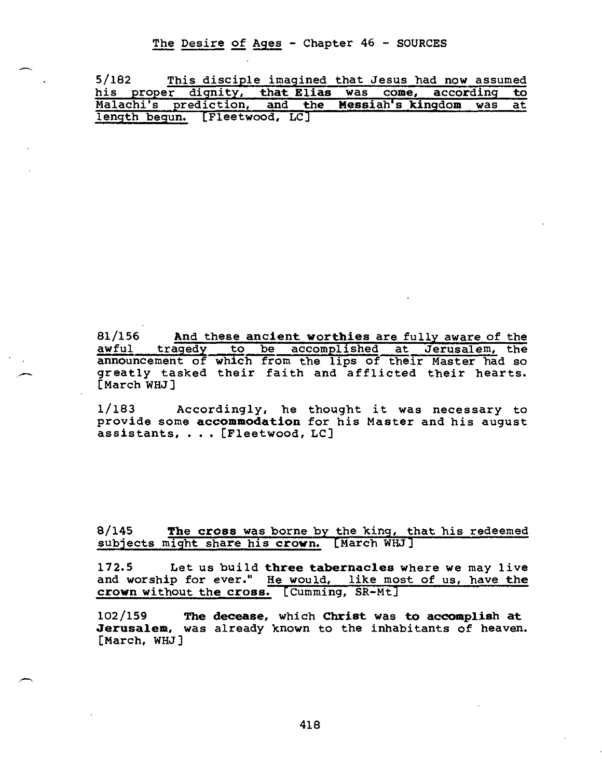The Desire of Ages - Chapter 46 - SOURCES

| 5/182                                                  |  |  |  | This disciple imagined that Jesus had now assumed |  |
|--------------------------------------------------------|--|--|--|---------------------------------------------------|--|
| his proper dignity, that Elias was come, according to  |  |  |  |                                                   |  |
| Malachi's prediction, and the Messiah's kingdom was at |  |  |  |                                                   |  |
| length begun. [Fleetwood, LC]                          |  |  |  |                                                   |  |

**81/156 And** these **ancient worthies** are fully aware of the awful tragedy to be accomplished at Jerusalem, the announcement of which from the lips of their Master had so greatly tasked their faith and afflicted their hearts. [March WHJ]

1/183 Accordingly, he thought it was necessary to provide some **accommodation** for his Master and his august assistants, . . . [Fleetwood, LC]

8/145 **The cross** was borne by the king, that his redeemed subjects might share his **crown.** [March WHJ]

172.5 Let us build **three tabernacles** where we may live and worship for ever." He would, like most of us, have **the crown** without **the cross.** [Cumming, SR-Mt]

102/159 **The decease,** which **Christ** was **to accomplish at Jerusalem,** was already known to the inhabitants of heaven. [March, WHJ]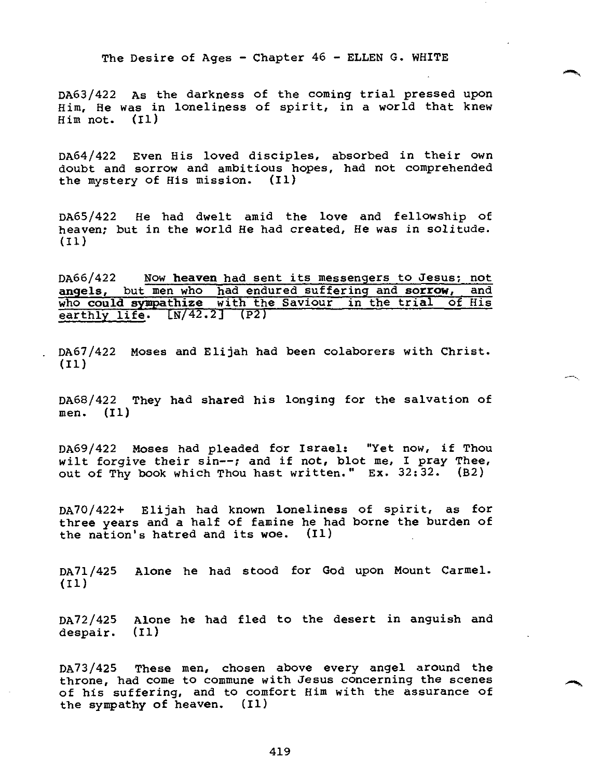DA63/422 As the darkness of the coming trial pressed upon Him, He was in loneliness of spirit, in a world that knew Him not. (II)

DA64/422 Even His loved disciples, absorbed in their own doubt and sorrow and ambitious hopes, had not comprehended the mystery of His mission. (II)

DA65/422 He had dwelt amid the love and fellowship of heaven; but in the world He had created, He was in solitude. (I1)

DA66/422 Now **heaven** had sent its messengers to Jesus; **not angels,** but men who had endured suffering and **sorrow,** and who **could sympathize** with the Saviour in the trial of His earthly life. [N/42.2] (P2)

. DA67/422 Moses and Elijah had been colaborers with Christ. (II)

DA68/422 They had shared his longing for the salvation of men. **(I1)** 

DA69/422 Moses had pleaded for Israel: "Yet now, if Thou wilt forgive their sin--; and if not, blot me, I pray Thee, out of Thy book which Thou hast written." Ex. 32:32. (B2)

DA70/422+ Elijah had known loneliness of spirit, as for three years and a half of famine he had borne the burden of the nation's hatred and its woe. (I1)

DA71/425 Alone he had stood for God upon Mount Carmel. (I1)

DA72/425 Alone he had fled to the desert in anguish and despair. (I1)

DA73/425 These men, chosen above every angel around the throne, had come to commune with Jesus concerning the scenes of his suffering, and to comfort Him with the assurance of the sympathy of heaven. (Ii)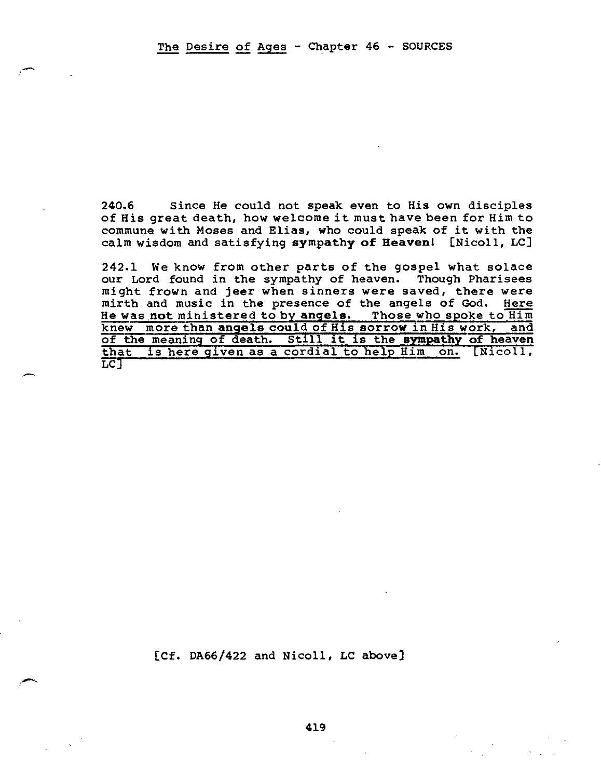**240.6 Since He could** not speak even to His own disciples of His great death, how welcome it must have been for Him to commune with Moses and Elias, who could speak of it with the calm wisdom and satisfying **sympathy of Heaven! [Nicoll, LC]** 

242.1 We know from other parts of the gospel what solace our Lord found in the sympathy of heaven. Though Pharisees might frown and jeer when sinners were saved, there were mirth and music in the presence of the angels of God. Here He was **not** ministered to by **angels.** Those who spoke to Him knew more than **angels could** of His **sorrow** in His work, and of the meaning of death. Still it is the **sympathy of heaven**  that is here given as a cordial to help Him on. [Nicoll, LC]

[Cf. DA66/422 and Nicoll, LC above]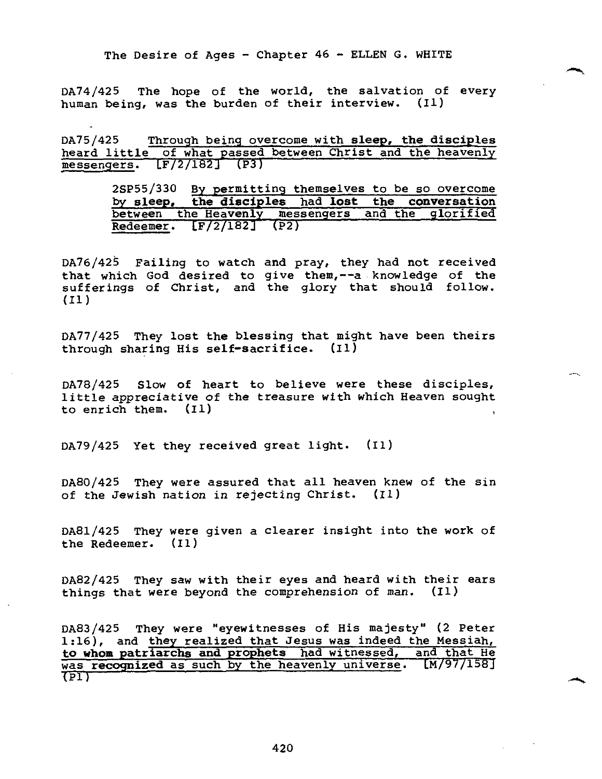DA74/425 The hope of the world, the salvation of every human being, was the burden of their interview. (I1)

DA75/425 Through being overcome with **sleep, the disciples**  heard little of what passed between Christ and the heavenly messengers. LF/2/182J (P3)

> 2SP55/330 By permitting themselves to be so overcome by **sleep, the disciples** had **lost the conversation**  between the Heavenly messengers and the glorified Redeemer. [F/2/182] (P2)

DA76/425 Failing to watch and pray, they had not received that which God desired to give them,--a-knowledge of the sufferings of Christ, and the glory that should follow. (I1)

DA77/425 They lost the blessing that might have been theirs through sharing His self-sacrifice. (I1)

DA78/425 Slow of heart to believe were these disciples, little appreciative of the treasure with which Heaven sought to enrich them. (I1)

DA79/425 Yet they received great light. (I1)

DA80/425 They were assured that all heaven knew of the sin of the Jewish nation in rejecting Christ. (II)

DA81/425 They were given a clearer insight into the work of the Redeemer. (I1)

DA82/425 They saw with their eyes and heard with their ears things that were beyond the comprehension of man. (II)

DA83/425 They were "eyewitnesses of His majesty" (2 Peter 1:16), and they realized that Jesus was indeed the Messiah, **to whom patriarchs and prophets** had witnessed, and that He was **recognized** as such by the heavenly universe. [M/97/158]  $\overline{\text{CPI}}$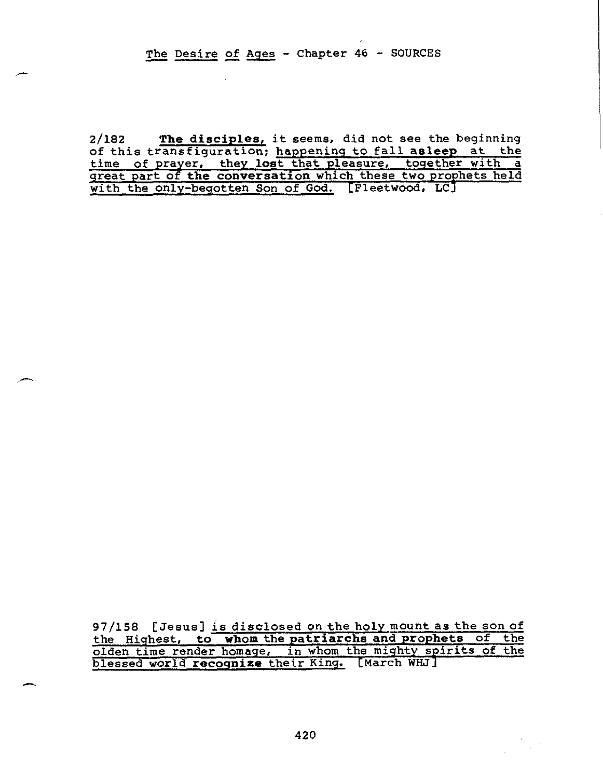The Desire of Ages - Chapter 46 - SOURCES

 $\mathbf{r}$ 

2/182 **The disciples,** it seems, did not see the beginning of this transfiguration; happening to fall **asleep** at the time of prayer, they **lost** that pleasure, together with a great part of **the conversation** which these two prophets held with the only-begotten Son of God. [Fleetwood, LC]

97/158 [Jesus] is disclosed on the holy mount as the son of the Highest, **to whom** the **patriarchs and prophets** of the olden time render homage, in whom the mighty spirits of the blessed world **recognize** their King. [March WH.7]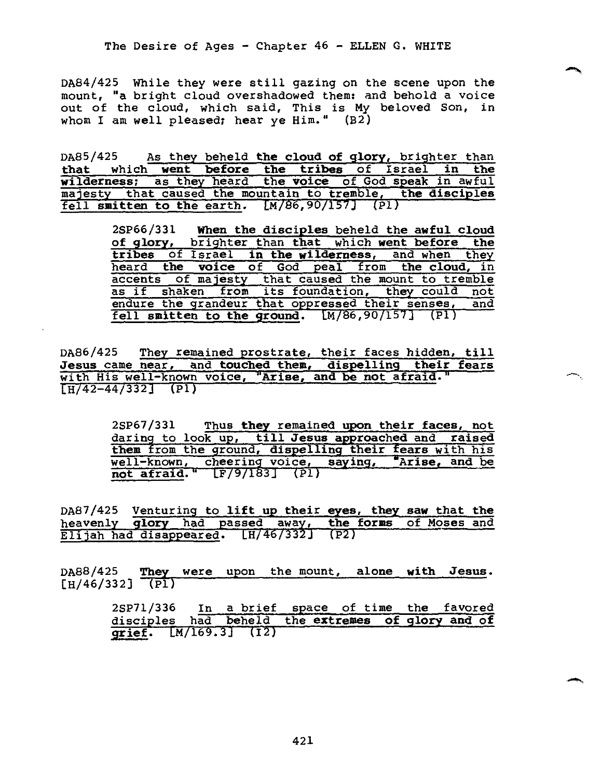DA84/425 While they were still gazing on the scene upon the mount, "a bright cloud overshadowed them: and behold a voice out of the cloud, which said, This is My beloved Son, in whom I am well pleased; hear ye Him."  $(B2)$ 

DA85/425 As they beheld **the cloud of glory,** brighter than **that** which **went before the tribes** of Israel **in the wilderness;** as they heard the **voice** of God speak in awful majesty that caused the mountain to tremble, **the disciples**  fell **smitten to the** earth. CM/86,90/157j (P1)

> 2SP66/331 **When the disciples** beheld **the awful cloud of glory,** brighter than **that** which **went before the tribes** of Israel **in the wilderness,** and when they heard **the voice** of God peal from **the cloud,** in accents of majesty that caused the mount to tremble as if shaken from its foundation, they could not endure the grandeur that oppressed their senses, and fell **smitten to the ground.** CM/86,90/157] (P1)

DA86/425 They remained prostrate, their faces hidden, **till Jesus** came near, and **touched them, dispelling their fears**  with His well-known voice, **"Arise, and be not afraid."**  [H/42-44/332] (P1)

> 2SP67/331 Thus **they** remained **upon their faces,** not daring to look up, **till Jesus approached** and **raised them** from the ground, **dispelling their fears** with his well-known, cheering voice, **saying, 'Arise, and be not afraid."** LF/9/183] (pl)

DA87/425 Venturing to **lift up their eyes, they saw** that **the**  heavenly **glory** had passed away, **the forms** of Moses and Elijah had disappeared. LH/46/332J (P2)

DA88/425 **They** were upon the mount, **alone with Jesus.**   $[H/46/332]$  (P1)

> 2SP71/336 In a brief space of time the favored disciples had beheld the **extremes of glory and of grief.** LM/169.3) (I2)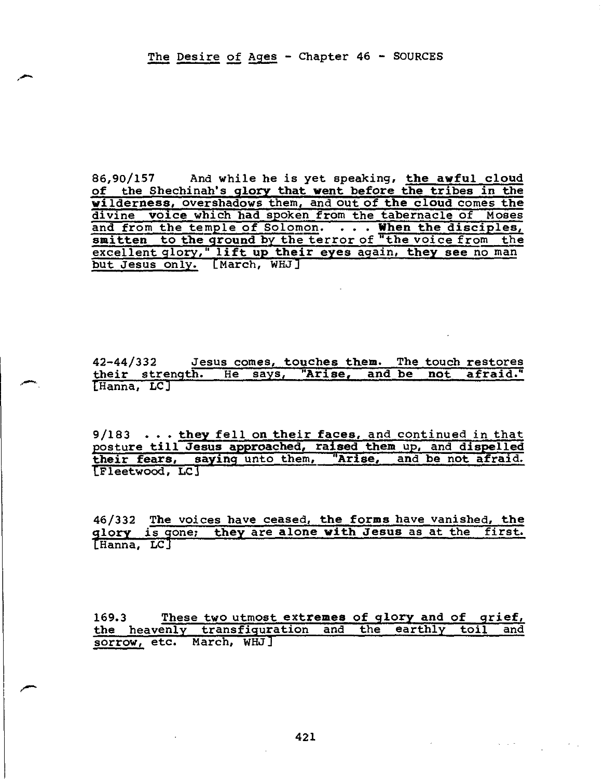86,90/157 And while he is yet **speaking, the awful cloud of the Shechinah's glory that went before the tribes in the wilderness, overshadows** them, and out **of the cloud** comes **the divine voice which had spoken from** the tabernacle of Moses and from the temple **of Solomon. . . . When the disciples, smitten to the ground** by the terror of "the voice from the excellent glory," **lift up their eyes again, they see** no man but Jesus only. [March, WHJ]

42-44/332 Jesus **comes, touches them.** The touch restores their strength. He says, **"Arise, and be not afraid." [Hanna, LCJ** 

**9/183 . . . they fell on their faces, and continued** in that **posture till Jesus approached, raised them** up, **and dispelled their fears, saying** unto them, **"Arise, and be not afraid. [Fleetwood, LC3** 

**46/332 The voices have ceased, the forms** have vanished, **the glory is gone; they are alone with Jesus** as at the first. [Hanna, LC]

169.3 These two **utmost extremes of glory and of grief, the heavenly transfiguration and** the earthly toil and sorrow, etc. March, WHJ]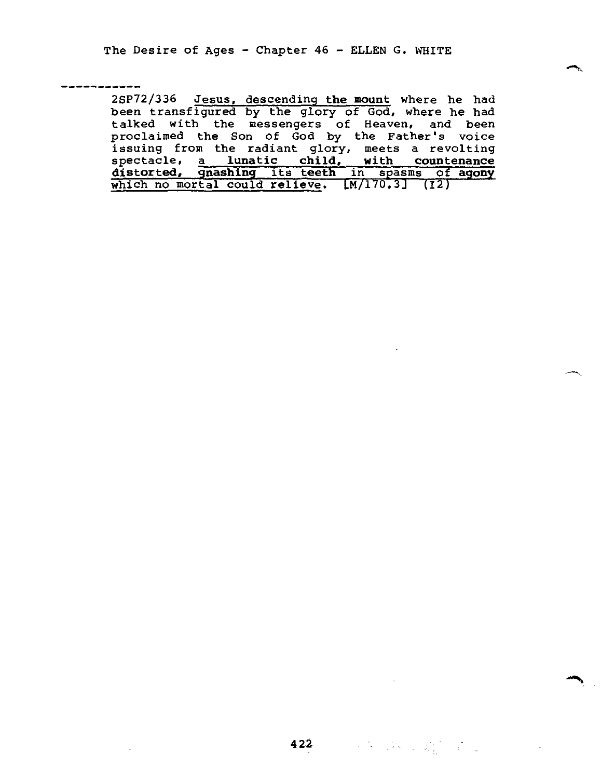2SP72/336 Jesus, descending **the mount** where he had been transfigured by the glory of God, where he had talked with the messengers of Heaven, and been proclaimed the Son of God by the Father's voice issuing from the radiant glory, meets a revolting spectacle, a **lunatic child, with countenance distorted, gnashing** its **teeth** in spasms of **agony**  which no mortal could relieve. LM/170.3J (12)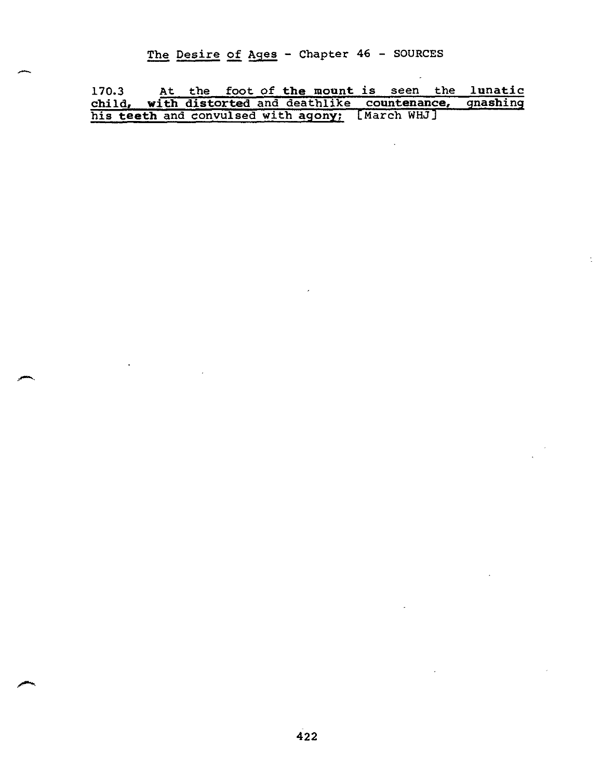The Desire of Ages - Chapter 46 - SOURCES

170.3 At the foot of **the mount** is seen the **lunatic child, with distorted** and deathlike **countenance, gnashing**  his **teeth** and convulsed with **agony;** [March WHJ]

 $\ddot{\phantom{a}}$ 

 $\mathcal{L}$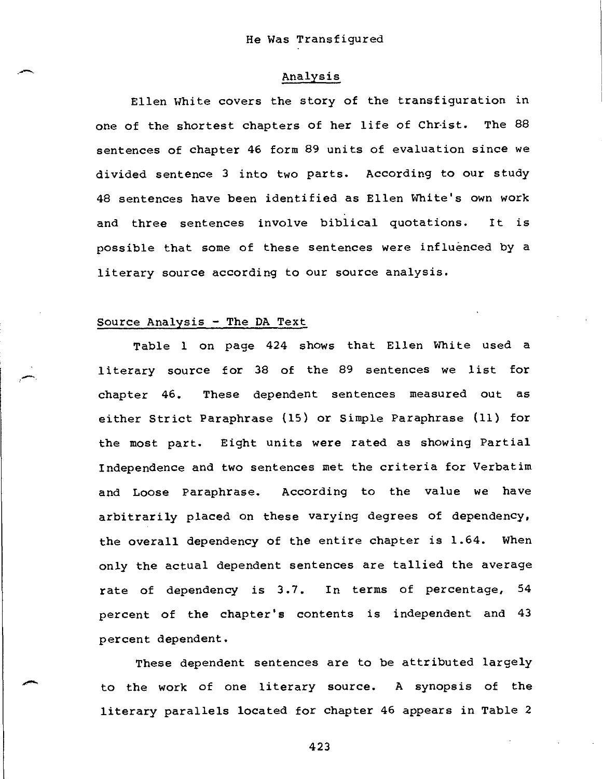### Analysis

Ellen White covers the story of the transfiguration in one of the shortest chapters of her life of Christ. The 88 sentences of chapter 46 form 89 units of evaluation since we divided sentence 3 into two parts. According to our study 48 sentences have been identified as Ellen White's own work and three sentences involve biblical quotations. It is possible that some of these sentences were influenced by a literary source according to our source analysis.

### Source Analysis - The DA Text

Table 1 on page 424 shows that Ellen White used a literary source for 38 of the 89 sentences we list for chapter 46. These dependent sentences measured out as either Strict Paraphrase (15) or Simple Paraphrase (11) for the most part. Eight units were rated as showing Partial Independence and two sentences met the criteria for Verbatim and Loose Paraphrase. According to the value we have arbitrarily placed on these varying degrees of dependency, the overall dependency of the entire chapter is 1.64. When only the actual dependent sentences are tallied the average rate of dependency is 3.7. In terms of percentage, 54 percent of the chapter's contents is independent and 43 percent dependent.

These dependent sentences are to be attributed largely to the work of one literary source. A synopsis of the literary parallels located for chapter 46 appears in Table 2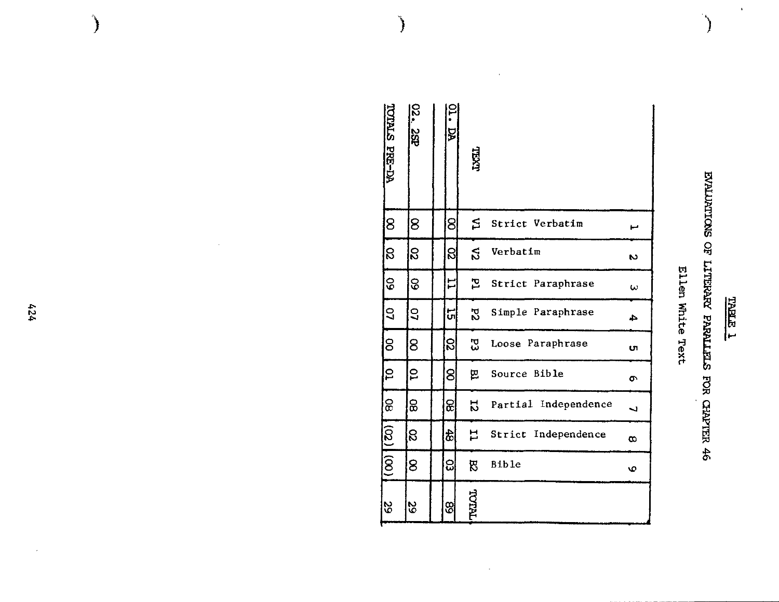| ţ |
|---|
|   |

 $\hat{\mathbf{r}}$ 

# EVALUATIONS OF LITERARY PARALLELS FOR CHAPTER 46

### Ellen White Text

|                      |                 | N        | $\omega$          | 4                 | UI               | <b>O</b>     | $\overline{\phantom{0}}$ | $\infty$            | $\pmb{\circ}$ |               |
|----------------------|-----------------|----------|-------------------|-------------------|------------------|--------------|--------------------------|---------------------|---------------|---------------|
|                      | Strict Verbatim | Verbatim | Strict Paraphrase | Simple Paraphrase | Loose Paraphrase | Source Bible | Partial Independence     | Strict Independence |               |               |
| LEXTL                | ุ≲              | S        | ᄗ                 | 52                | 53               | 瓦            | 12                       | ᆸ                   | 閃             | <b>TNILOL</b> |
| ăÀ                   | 8               | ន        | 〓                 | 니                 | 8                | 8            | ଛା                       | टी                  | ဥု            | <u>ଞ୍ଜ</u>    |
| o<br>S<br>k<br>82    | $8^{\circ}$     | S        | 8                 | 3                 | 8                | S            | င္ထ                      | S                   | 8             | 29            |
| <b>TOTALS PRE-DA</b> | 8               | ß        | $\mathcal{S}$     | ဒြ                | 8                | 15           | ခြ                       | $(02)$ (00)         |               | <b>S</b>      |

 $\bar{\epsilon}$ 

 $\bar{z}$ 

 $\bigg\}$ 

 $424$ 

 $\epsilon$ 

 $\big\}$ 

 $\overline{\phantom{a}}$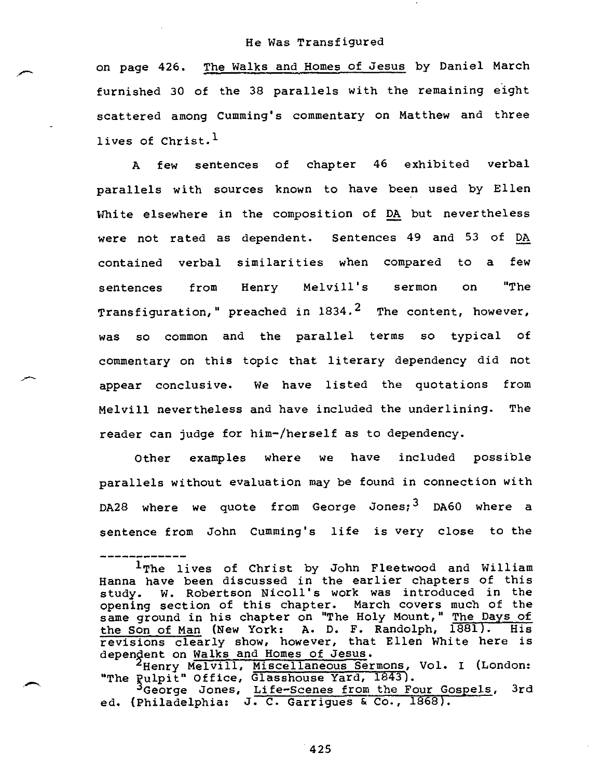on page 426. The Walks and Homes of Jesus by Daniel March furnished 30 of the 38 parallels with the remaining eight scattered among Cumming's commentary on Matthew and three lives of Christ. $<sup>1</sup>$ </sup>

A few sentences of chapter 46 exhibited verbal parallels with sources known to have been used by Ellen White elsewhere in the composition of DA but nevertheless were not rated as dependent. Sentences 49 and 53 of DA contained verbal similarities when compared to a few sentences from Henry Melvill's sermon on "The Transfiguration," preached in  $1834.^2$  The content, however, was so common and the parallel terms so typical of commentary on this topic that literary dependency did not appear conclusive. We have listed the quotations from Melvill nevertheless and have included the underlining. The reader can judge for him-/herself as to dependency.

Other examples where we have included possible parallels without evaluation may be found in connection with DA28 where we quote from George Jones;<sup>3</sup> DA60 where a sentence from John Cumming's life is very close to the

2Henry Melvill, Miscellaneous Sermons, Vol. I (London: "The Pulpit" Office, Glasshouse Yard, 1843).

IThe lives of Christ by John Fleetwood and William Hanna have been discussed in the earlier chapters of this study. W. Robertson Nicoll's work was introduced in the opening section of this chapter. March covers much of the same ground in his chapter on "The Holy Mount," The Days of the Son of Man (New York: A. D. F. Randolph, 1881). His revisions clearly show, however, that Ellen White here is dependent on Walks and Homes of Jesus.

Puipit" Office, Glasshouse rard, 1043).<br>3George Jones, Life-Scenes from the Four Gospels, 3rd ed. (Philadelphia: J. C. Garrigues & Co., 1868).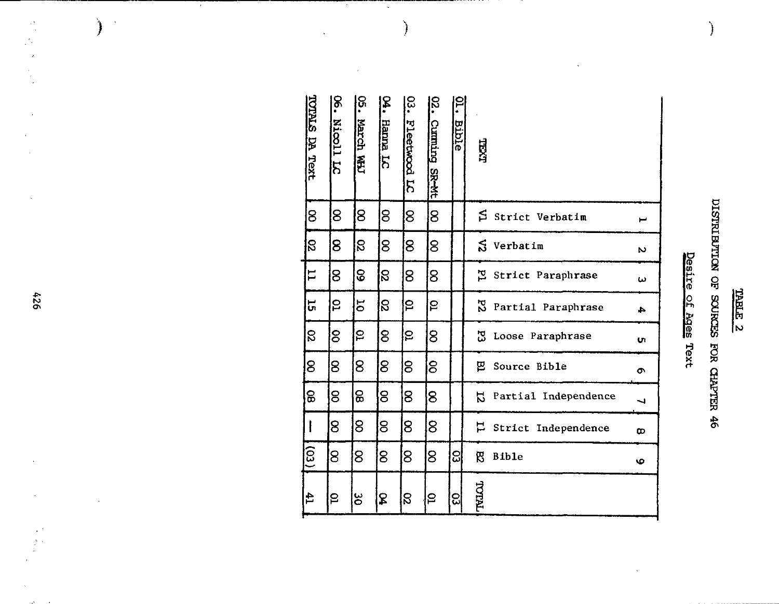### <u>TABLE 2</u>

# DISTRIBUTION OF SOURCES FOR CHAPTER 46

ो

### Desire of Ages Text Desire of Ages Text

| TOTALS DA Text           | <u>଼</u><br>.<br>Nicoll LC | <u>ូ</u><br>March WH | ž.<br>Hanna LC | င္လ<br>Fleetwood LC | δ.<br><b>Cumming</b><br><b>SR-Mt</b> | <b>Bible</b> | 口义口    |                              |          |
|--------------------------|----------------------------|----------------------|----------------|---------------------|--------------------------------------|--------------|--------|------------------------------|----------|
| 8                        | 8                          | 8                    | 8              | 8                   | 8                                    |              |        | S Strict Verbatim            |          |
| $\overline{\mathcal{S}}$ | 8                          | S                    | 8              | 8                   | 8                                    |              |        | $S$ Verbatim                 | N        |
| $\mathbf{L}$             | 8                          | 8                    | S              | 8                   | 8                                    |              |        | Strict Paraphrase            | ω        |
| ក្                       | 5                          | $\overline{5}$       | $\mathbf{S}$   | S                   | S                                    |              |        | N Partial Paraphrase         | 4        |
| g                        | 8                          | ဥ                    | 8              | P                   | 8                                    |              | 53     | Loose Paraphrase             | Uι       |
| 8                        | 8                          | 8                    | 8              | $\overline{8}$      | 8                                    |              | 巴      | Source Bible                 | $\sigma$ |
| 8                        | 8                          | 8                    | 8              | 8                   | 8                                    |              | 55     | Partial Independence         | ┙        |
| l                        | 8                          | 8                    | 8              | 8                   | 8                                    |              |        | <b>E</b> Strict Independence | $\infty$ |
| $\overline{(53)}$        | 8                          | 8                    | $8^{\circ}$    | $\overline{8}$      | 8                                    | ္ထု          | ଞ      | <b>Bible</b>                 | O        |
| $\mathbf{f}$             | S                          | ိပ္င                 | \$             | S.                  | ဠ                                    | ଅ            | TNIJOL |                              |          |

 $\bar{\beta}$ 

 $\bigg)$ 

 $\bar{\beta}$ 

Ŧ

Ī,

 $\bar{\omega}$ 

 $\bigg)$ 

924

 $\begin{array}{c} 1/2 \\ 2/3 \end{array}$ 

 $\Delta^+$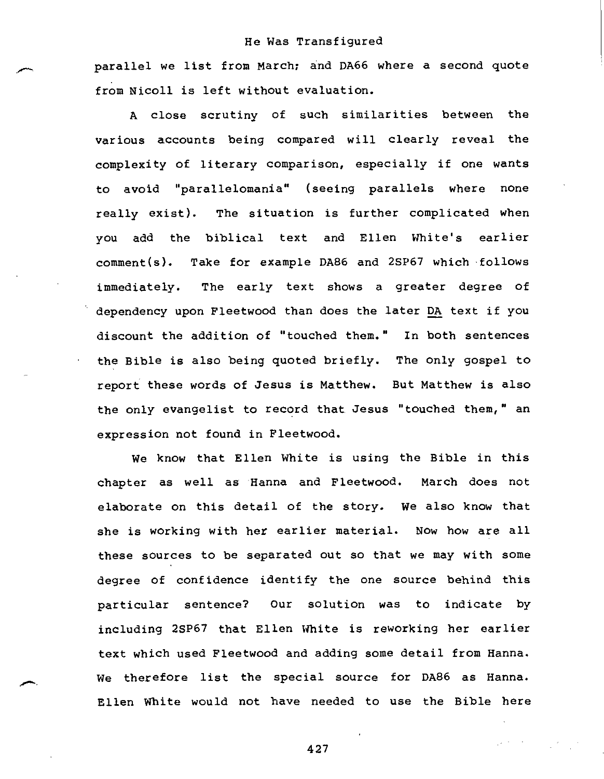parallel we list from March; and DA66 where a second quote from Nicoll is left without evaluation.

A close scrutiny of such similarities between the various accounts being compared will clearly reveal the complexity of literary comparison, especially if one wants to avoid "parallelomania" (seeing parallels where none really exist). The situation is further complicated when you add the biblical text and Ellen White's earlier comment(s). Take for example DA86 and 2SP67 which follows immediately. The early text shows a greater degree of dependency upon Fleetwood than does the later DA text if you discount the addition of "touched them." In both sentences the Bible is also being quoted briefly. The only gospel to report these words of Jesus is Matthew. But Matthew is also the only evangelist to record that Jesus "touched them," an expression not found in Fleetwood.

We know that Ellen White is using the Bible in this chapter as well as Hanna and Fleetwood. March does not elaborate on this detail of the story. We also know that she is working with her earlier material. Now how are all these sources to be separated out so that we may with some degree of confidence identify the one source behind this particular sentence? Our solution was to indicate by including 2SP67 that Ellen White is reworking her earlier text which used Fleetwood and adding some detail from Hanna. We therefore list the special source for DA86 as Hanna. Ellen White would not have needed to use the Bible here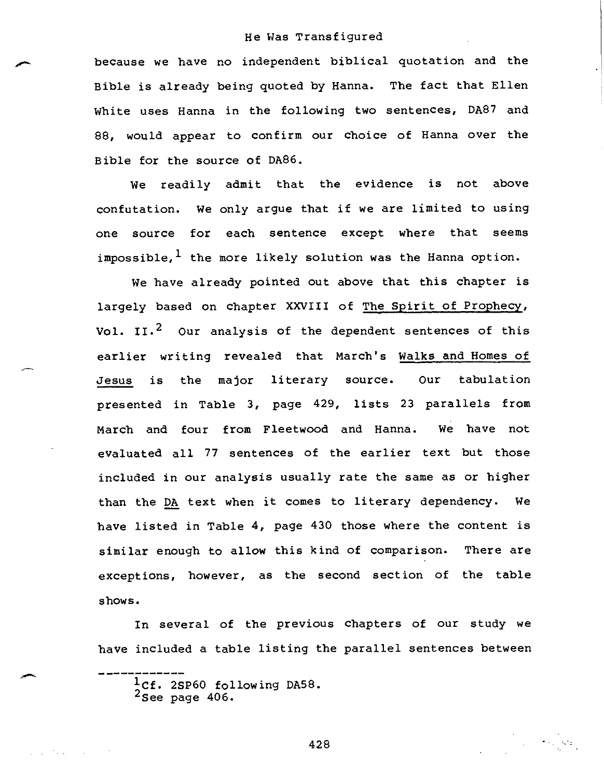because we have no independent biblical quotation and the Bible is already being quoted by Hanna. The fact that Ellen White uses Hanna in the following two sentences, DA87 and 88, would appear to confirm our choice of Hanna over the Bible for the source of DA86.

We readily admit that the evidence is not above confutation. We only argue that if we are limited to using one source for each sentence except where that seems impossible,  $1$  the more likely solution was the Hanna option.

We have already pointed out above that this chapter is largely based on chapter XXVIII of The Spirit of Prophecy, Vol. II.<sup>2</sup> Our analysis of the dependent sentences of this earlier writing revealed that March's Walks and Homes of Jesus is the major literary source. Our tabulation presented in Table 3, page 429, lists 23 parallels from March and four from Fleetwood and Hanna. We have not evaluated all 77 sentences of the earlier text but those included in our analysis usually rate the same as or higher than the DA text when it comes to literary dependency. We have listed in Table 4, page 430 those where the content is similar enough to allow this kind of comparison. There are exceptions, however, as the second section of the table shows.

In several of the previous chapters of our study we have included a table listing the parallel sentences between

<sup>1</sup>Cf. 2SP60 following DA58.<br><sup>2</sup>See page 406.

La Cartera Corpo

428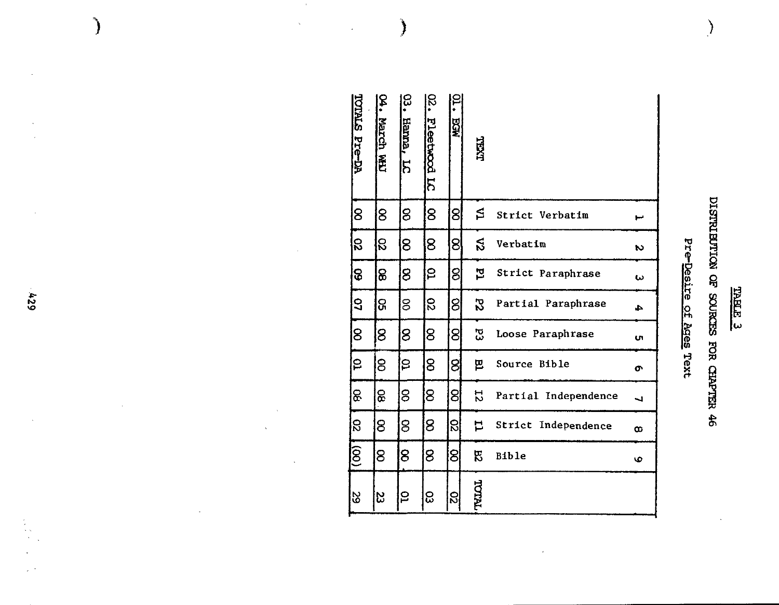| ŕ<br>ኳ<br>Ļ<br>τ |
|------------------|
|                  |

# DISTRIBUTION OF SOURCES FOR CHAPTER 46

 $\left\langle \right\rangle$ 

## Pre-Desire of Ages Text

| TOTALS Pre-DA | ይ<br>የ<br><b>Warch WH</b> | ၕ<br><b>Hanna</b><br>5 | ន<br>•<br>Fleetwood LC | <b>RGK</b>    | TYAT    |                        |                          |
|---------------|---------------------------|------------------------|------------------------|---------------|---------|------------------------|--------------------------|
| 8             | 8                         | 8                      | 8                      | 8             | S       | Strict Verbatim        | سو                       |
| ន             | ន                         | 8                      | 8                      | ଟ୍ରା          | న       | Verbatim               | Z                        |
| 8             | 8                         | 8                      | ဥ                      | ଥି            | 현       | Strict Paraphrase      | س                        |
| 5             | ႙                         | g                      | S                      | ଞ୍ଜ           | 52      | Partial Paraphrase     | 4                        |
| 8             | 8                         | 8                      | 8                      | 8             | بر<br>پ | Loose Paraphrase       | <b>UT</b>                |
| ₽             | 8                         | ဠ                      | 8                      | ଥି            | 밈       | Source Bible           | თ                        |
| 8             | 8                         | 8                      | 8                      | 잉             | 52      | Partial Independence   | $\overline{\phantom{0}}$ |
| g             | 8                         | 8                      | 8                      | $\mathbb{S}$  | ᄇ       | Strict<br>Independence | $\infty$                 |
| $\widehat{g}$ | 8                         | 8                      | 8                      | 8             | 52      | <b>Bible</b>           | O                        |
| 82            | 23                        | ဠ                      | ဥ                      | $\mathcal{S}$ | TNIJOL  |                        |                          |

 $\epsilon$ 

 $\bar{\mathcal{A}}$ 

 $\big)$ 

 $\hat{\mathcal{L}}$ 

624

 $\begin{array}{c} \end{array}$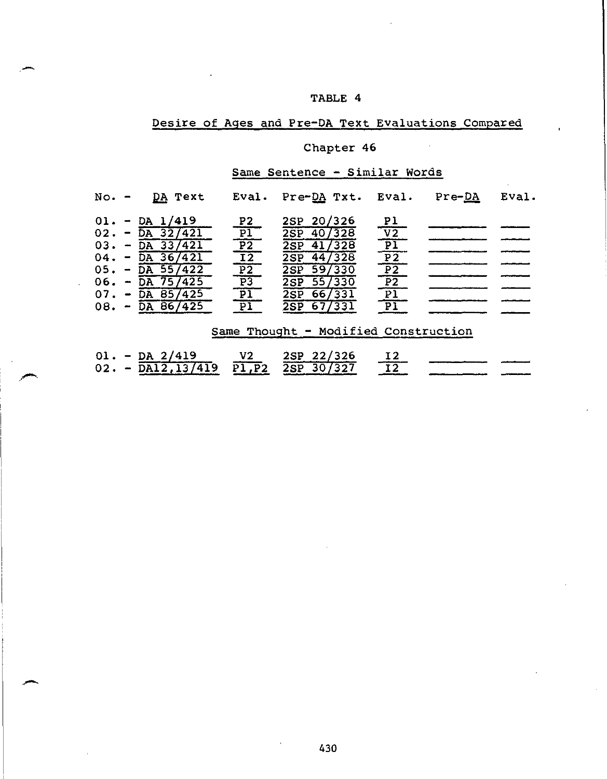### TABLE 4

### Desire of Ages and Pre-DA Text Evaluations Compared

### Chapter 46

### Same Sentence - Similar Words

| $No. -$ | <u>DA</u> Text               | Eval.                                                                                                                            | Pre-DA Txt. Eval.                    |                                                                                                                                                                                  | $Pre-DA$ | Eval. |
|---------|------------------------------|----------------------------------------------------------------------------------------------------------------------------------|--------------------------------------|----------------------------------------------------------------------------------------------------------------------------------------------------------------------------------|----------|-------|
|         | $01. - DA 1/419$             |                                                                                                                                  | 2SP 20/326                           |                                                                                                                                                                                  |          |       |
|         | $02. - \overline{DA} 32/421$ | $rac{P2}{P1}$                                                                                                                    | $2SP$ 40/328                         |                                                                                                                                                                                  |          |       |
|         | $03. - \overline{DA} 33/421$ |                                                                                                                                  | $2SP$ 41/328                         |                                                                                                                                                                                  |          |       |
|         | $04. - \overline{DA} 36/421$ |                                                                                                                                  | 2SP 44/328                           |                                                                                                                                                                                  |          |       |
|         | $05. - \overline{DA} 55/422$ |                                                                                                                                  | 2SP 59/330                           |                                                                                                                                                                                  |          |       |
|         | $06. - \overline{DA} 75/425$ |                                                                                                                                  | 2SP 55/330                           |                                                                                                                                                                                  |          |       |
|         | $07. - \overline{DA} 85/425$ |                                                                                                                                  | 2SP 66/331                           | $\begin{array}{c}\n \text{p1} \\ \hline\n \text{V2} \\ \hline\n \text{p1} \\ \hline\n \text{p2} \\ \hline\n \text{p2} \\ \hline\n \text{p1} \\ \hline\n \text{p1}\n \end{array}$ |          |       |
|         | $08. - \overline{DA} 86/425$ | $\begin{array}{r} \n 12 \\ \hline\n 12 \\ \hline\n 12 \\ \hline\n 12 \\ \hline\n 12 \\ \hline\n 11 \\ \hline\n 11\n \end{array}$ | 2SP 67/331                           |                                                                                                                                                                                  |          |       |
|         |                              |                                                                                                                                  |                                      |                                                                                                                                                                                  |          |       |
|         |                              |                                                                                                                                  | Same Thought - Modified Construction |                                                                                                                                                                                  |          |       |
|         |                              |                                                                                                                                  |                                      |                                                                                                                                                                                  |          |       |
|         |                              |                                                                                                                                  |                                      |                                                                                                                                                                                  |          |       |

|  | $01. - DA$ 2/419 | V2 | 2SP 22/326                                                                   |  |  |
|--|------------------|----|------------------------------------------------------------------------------|--|--|
|  |                  |    | $0.2. - \overline{DA12, 13/419}$ $\overline{PI, P2}$ $\overline{2SP}$ 30/327 |  |  |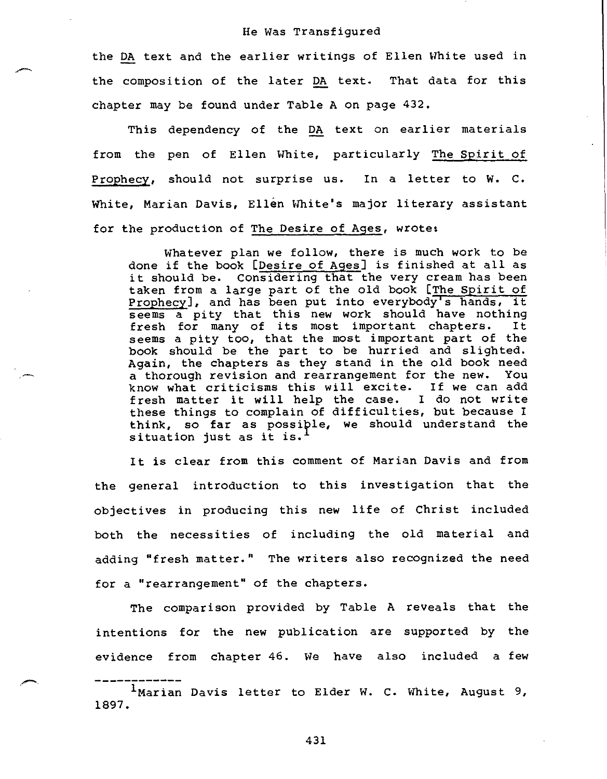the DA text and the earlier writings of Ellen White used in the composition of the later DA text. That data for this chapter may be found under Table A on page 432.

This dependency of the DA text on earlier materials from the pen of Ellen White, particularly The Spirit of Prophecy, should not surprise us. In a letter to W. C. White, Marian Davis, Ellen White's major literary assistant for the production of The Desire of Ages, wrote:

Whatever plan we follow, there is much work to be done if the book [Desire of Ages] is finished at all as it should be. Considering that the very cream has been taken from a large part of the old book [The Spirit of Prophecy], and has been put into everybody's hands, it seems a pity that this new work should have nothing fresh for many of its most important chapters. It seems a pity too, that the most important part of the book should be the part to be hurried and slighted. Again, the chapters as they stand in the old book need a thorough revision and rearrangement for the new. You know what criticisms this will excite. If we can add fresh matter it will help the case. I do not write these things to complain of difficulties, but because I think, so far as possiple, we should understand the situation just as it is.<sup>1</sup>

It is clear from this comment of Marian Davis and from the general introduction to this investigation that the objectives in producing this new life of Christ included both the necessities of including the old material and adding "fresh matter." The writers also recognized the need for a "rearrangement" of the chapters.

The comparison provided by Table A reveals that the intentions for the new publication are supported by the evidence from chapter 46. We have also included a few

<sup>&</sup>lt;sup>1</sup>Marian Davis letter to Elder W. C. White, August 9, 1897.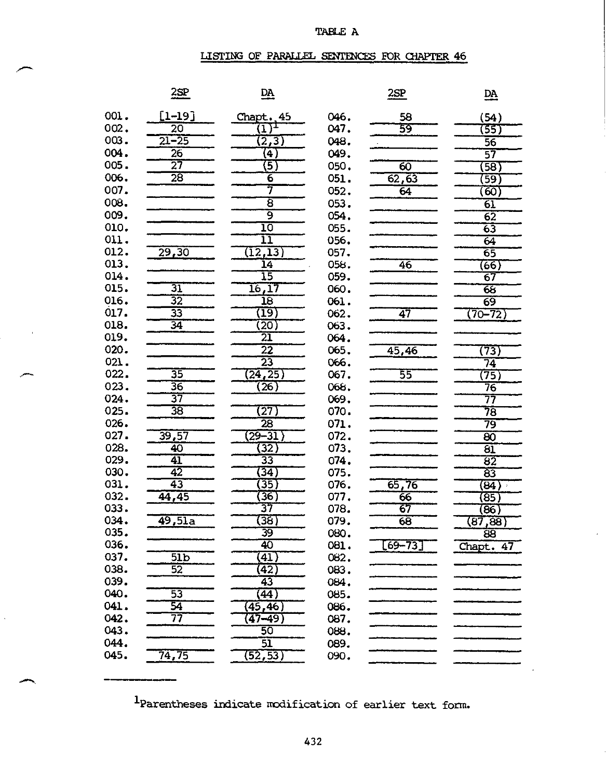### TABLE A

### LISTING OF PARALLEL SENTENCES FOR CHAPTER 46

|      | $\frac{2SP}{2}$           | $\underline{\mathbf{DA}}$  |              | 2SP         | $\underline{\mathbf{DA}}$ |
|------|---------------------------|----------------------------|--------------|-------------|---------------------------|
| 001. |                           |                            |              |             |                           |
| 002. | [1–19]<br>$\overline{20}$ | Chapt. 45                  | 046.<br>047. | 58<br>59    | (54)                      |
| 003. | $21 - 25$                 |                            | 048.         |             | 35)                       |
| 004. |                           | (2,3)                      |              |             | $\overline{56}$           |
| 005. | $\overline{26}$<br>27     | $\left( 4\right)$          | 049.         |             | 57                        |
|      |                           | (5)                        | 050.         | 60          | (58)                      |
| 006. | $\overline{28}$           | $\overline{6}$<br>7        | 051.         | 62, 63      | (59)                      |
| 007. |                           |                            | 052.         | 64          | (60)                      |
| 008. |                           | $\overline{8}$             | 053.         |             | 61                        |
| 009. |                           | 9                          | 054.         |             | 62                        |
| 010. |                           | 10                         | 055.         |             | 63                        |
| 011. |                           | īī                         | 056.         |             | 64                        |
| 012. | 29,30                     | (12, 13)                   | 057.         |             | 65                        |
| 013. |                           | $\overline{14}$            | 058.         | 46          | (66)                      |
| 014. |                           | 15                         | 059.         |             | 67                        |
| 015. | 31                        | 16, 17                     | 060.         |             | 65                        |
| 016. | $\overline{32}$           | $\overline{18}$            | 061.         |             | $\overline{69}$           |
| 017. | 33                        | $(\overline{19})$          | 062.         | 47          | $(70 - 72)$               |
| 018. | $\overline{34}$           | (20)                       | 063.         |             |                           |
| 019. |                           | 21                         | 064.         |             |                           |
| 020. |                           | $\overline{2}\overline{2}$ | 065.         | 45,46       | (73)                      |
| 021. |                           | $\overline{23}$            | 066.         |             | 74                        |
| 022. | 35                        | (24, 25)                   | 067.         | 55          | (75)                      |
| 023. | $\overline{36}$           | $\overline{26}$            | 068.         |             | 76                        |
| 024. | 37                        |                            | 069.         |             | 77                        |
| 025. | $\overline{38}$           | (27)                       | 070.         |             | 78                        |
| 026. |                           | $\overline{28}$            | 071.         |             | 79                        |
| 027. | 39,57                     | $(29 - 31)$                | 072.         |             | 80                        |
| 028. | 40                        | $\overline{32}$            | 073.         |             | 81                        |
| 029. | 41                        | 33                         | 074.         |             | 82                        |
| 030. | 42                        | (34)                       | 075.         |             | 83                        |
| 031. | 43                        | (35)                       | 076.         | 65,76       | (84)                      |
| 032. | 44,45                     | $\left( 36\right)$         | 077.         | 66          | (85)                      |
| 033. |                           | 37                         | 078.         | 67          | (86)                      |
| 034. | 49,5la                    | (38)                       | 079.         | 68          | (87, 88)                  |
| 035  |                           | 39                         | 080          |             | ਕ਼                        |
| 036. |                           | 40                         | 081.         | $[69 - 73]$ | Chapt. 47                 |
| 037. | $\overline{51b}$          | (41)                       | 082.         |             |                           |
| 038. | 52                        | (42)                       | 083.         |             |                           |
| 039. |                           | $\overline{43}$            | 084.         |             |                           |
| 040. | 53                        | (44)                       | 085.         |             |                           |
| 041. | 54                        | (45, 46)                   | 086.         |             |                           |
| 042. | 77                        | $\overline{47 - 49}$ )     | 087.         |             |                           |
| 043. |                           | 50                         | 088.         |             |                           |
| 044. |                           | $\overline{51}$            | 089.         |             |                           |
| 045. | 74,75                     | (52, 53)                   | 090.         |             |                           |
|      |                           |                            |              |             |                           |

1Parentheses indicate modification of earlier text form.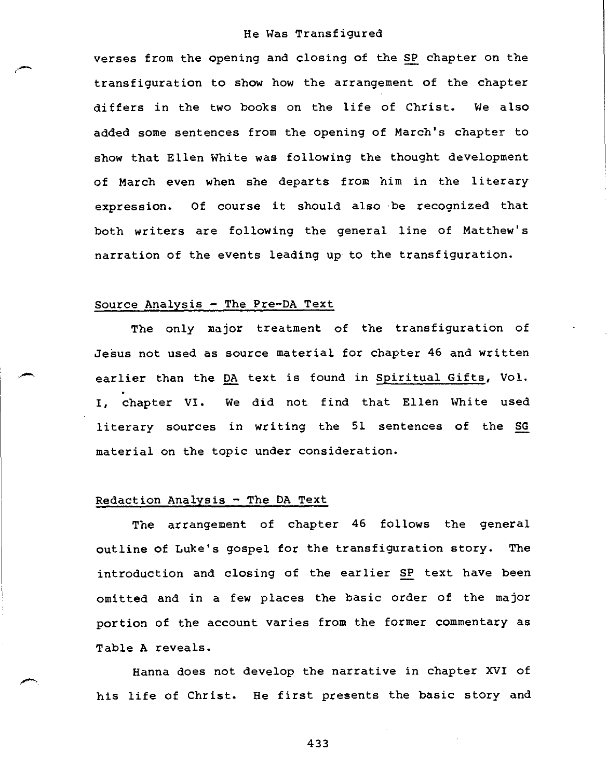verses from the opening and closing of the SP chapter on the transfiguration to show how the arrangement of the chapter differs in the two books on the life of Christ. We also added some sentences from the opening of March's chapter to show that Ellen White was following the thought development of March even when she departs from him in the literary expression. Of course it should also be recognized that both writers are following the general line of Matthew's narration of the events leading up to the transfiguration.

### Source Analysis - The Pre-DA Text

The only major treatment of the transfiguration of Jesus not used as source material for chapter 46 and written earlier than the DA text is found in Spiritual Gifts, Vol. I, chapter VI. We did not find that Ellen White used literary sources in writing the 51 sentences of the SG material on the topic under consideration.

### Redaction Analysis - The DA Text

The arrangement of chapter 46 follows the general outline of Luke's gospel for the transfiguration story. The introduction and closing of the earlier SP text have been omitted and in a few places the basic order of the major portion of the account varies from the former commentary as Table A reveals.

Hanna does not develop the narrative in chapter XVI of his life of Christ. He first presents the basic story and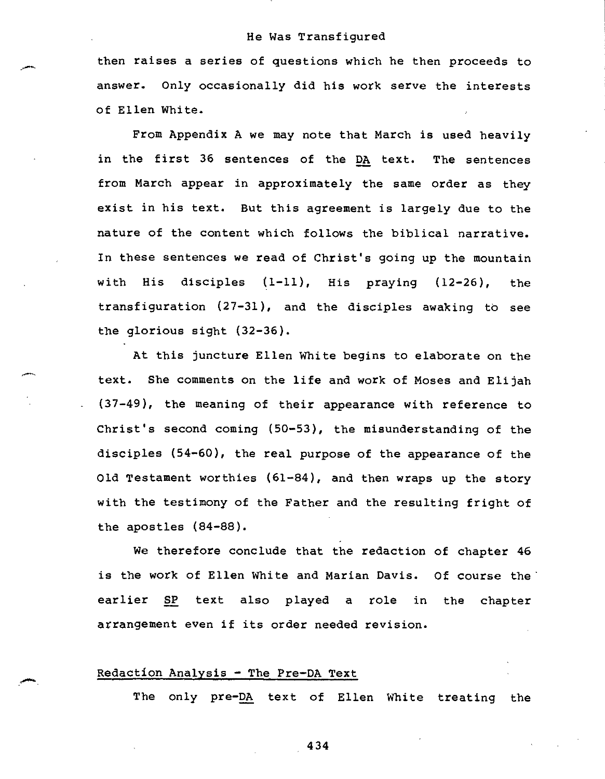then raises a series of questions which he then proceeds to answer. Only occasionally did his work serve the interests of Ellen White.

From Appendix A we may note that March is used heavily in the first 36 sentences of the DA text. The sentences from March appear in approximately the same order as they exist in his text. But this agreement is largely due to the nature of the content which follows the biblical narrative. In these sentences we read of Christ's going up the mountain with His disciples (1-11), His praying (12-26), the transfiguration (27-31), and the disciples awaking to see the glorious sight (32-36).

At this juncture Ellen White begins to elaborate on the text. She comments on the life and work of Moses and Elijah (37-49), the meaning of their appearance with reference to Christ's second coming (50-53), the misunderstanding of the disciples (54-60), the real purpose of the appearance of the Old Testament worthies (61-84), and then wraps up the story with the testimony of the Father and the resulting fright of the apostles (84-88).

We therefore conclude that the redaction of chapter 46 is the work of Ellen White and Marian Davis. Of course the earlier SP text also played a role in the chapter arrangement even if its order needed revision.

### Redaction Analysis - The Pre-DA Text

The only pre-DA text of Ellen White treating the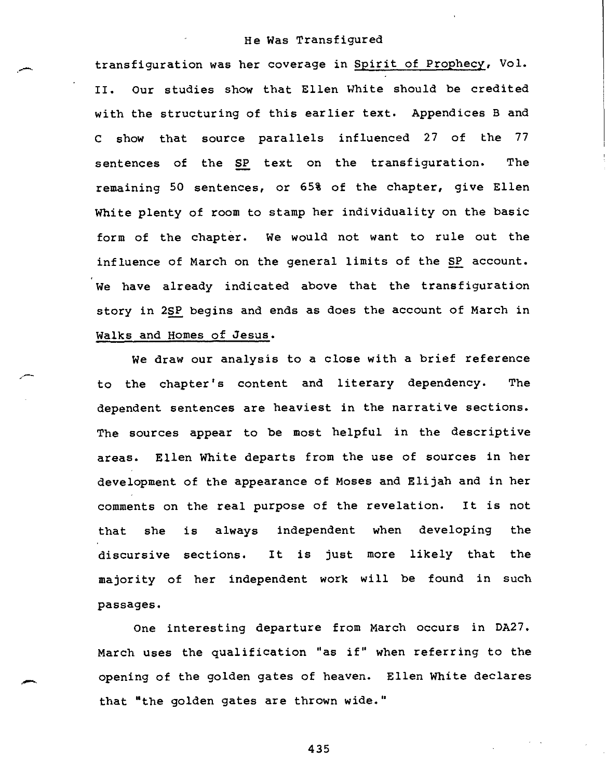transfiguration was her coverage in Spirit of Prophecy, Vol. II. Our studies show that Ellen White should be credited with the structuring of this earlier text. Appendices B and C show that source parallels influenced 27 of the 77 sentences of the SP text on the transfiguration. The remaining 50 sentences, or 65% of the chapter, give Ellen White plenty of room to stamp her individuality on the basic form of the chapter. We would not want to rule out the influence of March on the general limits of the SP account. We have already indicated above that the transfiguration story in 2SP begins and ends as does the account of March in Walks and Homes of Jesus.

We draw our analysis to a close with a brief reference to the chapter's content and literary dependency. The dependent sentences are heaviest in the narrative sections. The sources appear to be most helpful in the descriptive areas. Ellen White departs from the use of sources in her development of the appearance of Moses and Elijah and in her comments on the real purpose of the revelation. It is not that she is always independent when developing the discursive sections. It is just more likely that the majority of her independent work will be found in such passages.

One interesting departure from March occurs in DA27. March uses the qualification "as if" when referring to the opening of the golden gates of heaven. Ellen White declares that "the golden gates are thrown wide."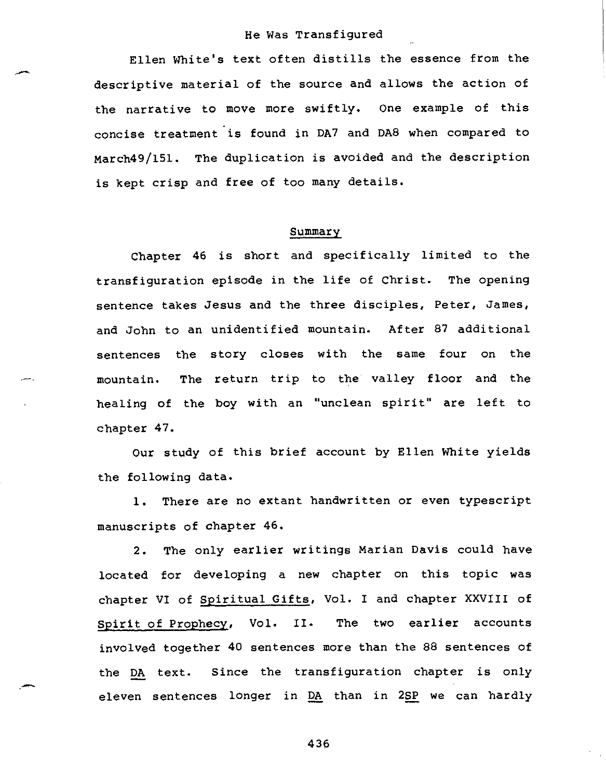Ellen White's text often distills the essence from the descriptive material of the source and allows the action of the narrative to move more swiftly. One example of this concise treatment is found in DA7 and DA8 when compared to march49/151. The duplication is avoided and the description is kept crisp and free of too many details.

### Summary

Chapter 46 is short and specifically limited to the transfiguration episode in the life of Christ. The opening sentence takes Jesus and the three disciples, Peter, James, and John to an unidentified mountain. After 87 additional sentences the story closes with the same four on the mountain. The return trip to the valley floor and the healing of the boy with an "unclean spirit" are left to chapter 47.

Our study of this brief account by Ellen White yields the following data.

1. There are no extant handwritten **or** even typescript manuscripts of chapter 46.

2. The only earlier writings Marian Davis could have located for developing a new chapter on this topic was chapter VI of Spiritual Gifts, Vol. I and chapter XXVIII of Spirit of Prophecy, Vol. II. The two earlier accounts involved together 40 sentences more than the 88 sentences of the DA text. Since the transfiguration chapter is only eleven sentences longer in DA than in 2SP we can hardly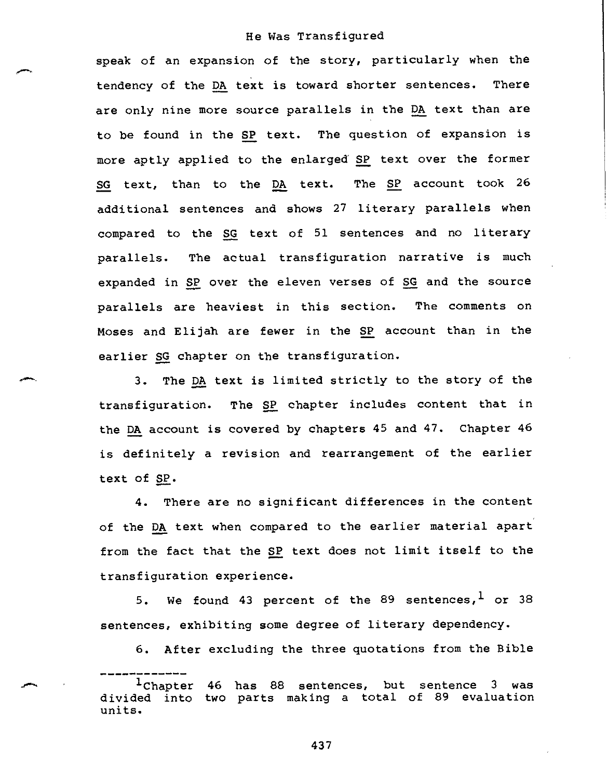speak of an expansion of the story, particularly when the tendency of the DA text is toward shorter sentences. There are only nine more source parallels in the DA text than are to be found in the SP text. The question of expansion is more aptly applied to the enlarged SP text over the former SG text, than to the DA text. The SP account took 26 additional sentences and shows 27 literary parallels when compared to the SG text of 51 sentences and no literary parallels. The actual transfiguration narrative is much expanded in SP over the eleven verses of SG and the source parallels are heaviest in this section. The comments on Moses and Elijah are fewer in the SP account than in the earlier SG chapter on the transfiguration.

3. The DA text is limited strictly to the story of the transfiguration. The SP chapter includes content that in the DA account is covered by chapters 45 and 47. Chapter 46 is definitely a revision and rearrangement of the earlier text of SP.

4. There are no significant differences in the content of the DA text when compared to the earlier material apart from the fact that the SP text does not limit itself to the transfiguration experience.

5. We found 43 percent of the 89 sentences,  $1$  or 38 sentences, exhibiting some degree of literary dependency.

6. After excluding the three quotations from the Bible

<sup>1</sup>chapter 46 has 88 sentences, but sentence 3 was divided into two parts making a total of 89 evaluation units.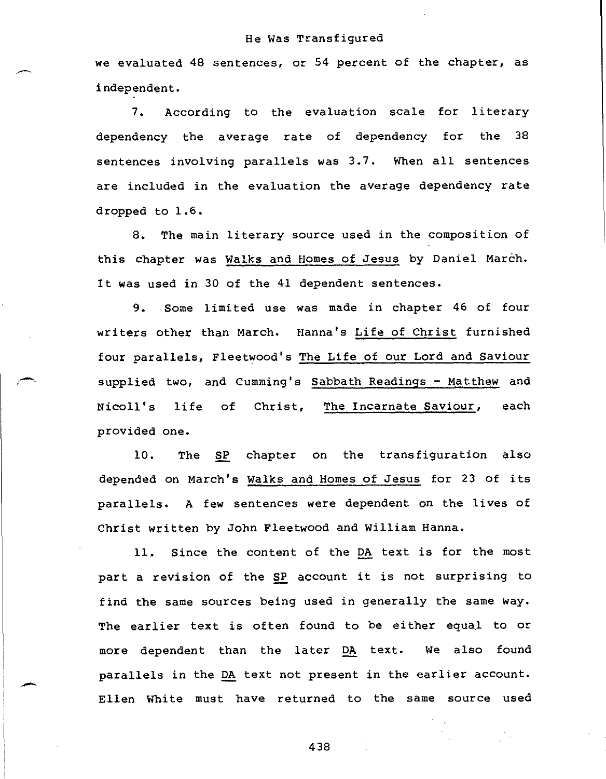we evaluated 48 sentences, or 54 percent of the chapter, as independent.

7. According to the evaluation scale for literary dependency the average rate of dependency for the 38 sentences involving parallels was 3.7. When all sentences are included in the evaluation the average dependency rate dropped to 1.6.

8. The main literary source used in the composition of this chapter was Walks and Homes of Jesus by Daniel March. It was used in 30 of the 41 dependent sentences.

9. Some limited use was made in chapter 46 of four writers other than March. Hanna's Life of Christ furnished four parallels, Fleetwood's The Life of our Lord and Saviour supplied two, and Cumming's Sabbath Readings - Matthew and Nicoll's life of Christ, The Incarnate Saviour, each provided one.

10. The SP chapter on the transfiguration also depended on March's Walks and Homes of Jesus for 23 of its parallels. A few sentences were dependent on the lives of Christ written by John Fleetwood and William Hanna.

11. Since the content of the DA text is for the most part a revision of the SP account it is not surprising to find the same sources being used in generally the same way. The earlier text is often found to be either equal to or more dependent than the later DA text. We also found parallels in the DA text not present in the earlier account. Ellen White must have returned to the same source used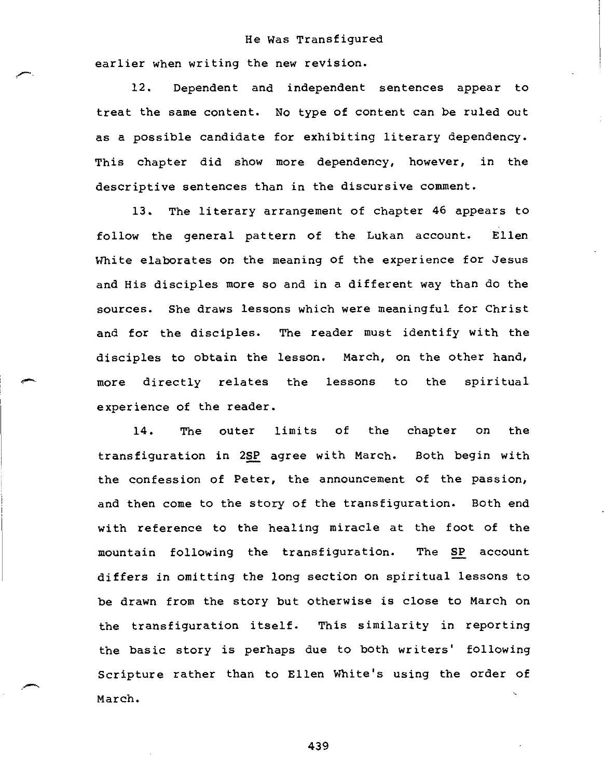earlier when writing the new revision.

12. Dependent and independent sentences appear to treat the same content. No type of content can be ruled out as a possible candidate for exhibiting literary dependency. This chapter did show more dependency, however, in the descriptive sentences than in the discursive comment.

13. The literary arrangement of chapter 46 appears to follow the general pattern of the Lukan account. Ellen White elaborates on the meaning of the experience for Jesus and His disciples more so and in a different way than do the sources. She draws lessons which were meaningful for Christ and for the disciples. The reader must identify with the disciples to obtain the lesson. March, on the other hand, more directly relates the lessons to the spiritual experience of the reader.

14. The outer limits of the chapter on the transfiguration in 2SP agree with March. Both begin with the confession of Peter, the announcement of the passion, and then come to the story of the transfiguration. Both end with reference to the healing miracle at the foot of the mountain following the transfiguration. The SP account differs in omitting the long section on spiritual lessons to be drawn from the story but otherwise is close to March on the transfiguration itself. This similarity in reporting the basic story is perhaps due to both writers' following Scripture rather than to Ellen White's using the order of March.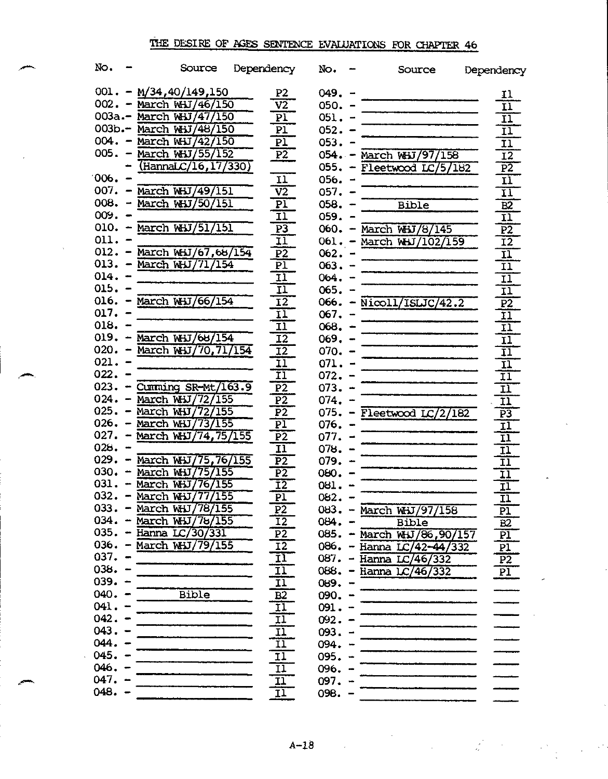### THE DESIRE OF AGES SENTENCE EVALUATIONS FOR CHAPTER 46

| No.      |                | Source                                  | Dependency                 | No.       | Source                                       | Dependency                |
|----------|----------------|-----------------------------------------|----------------------------|-----------|----------------------------------------------|---------------------------|
|          |                | $001. - M/34,40/149,150$                | P <sub>2</sub>             | 049.      |                                              | 11                        |
|          |                | 002. - March WHJ/46/150                 | $\overline{\mathtt{V2}}$   | $050. -$  |                                              | $\overline{\mathbf{H}}$   |
|          |                | 003a.- March WHJ/47/150                 | $\overline{\text{PI}}$     | $051. -$  |                                              | $\overline{\mathbf{11}}$  |
|          |                | 003b.- March WHJ/48/150                 | $\overline{P1}$            | $052 - -$ |                                              | $\overline{\mathbf{H}}$   |
|          |                | 004. - March WHJ/42/150                 | $\overline{P1}$            | $053 -$   |                                              | ΪĪ                        |
| 005.     |                | March WHJ/55/152                        | $\overline{P2}$            |           | 054. - March WHJ/97/158                      | $\overline{12}$           |
|          |                | (HannaLC/16, 17/330)                    |                            |           | 055. - Fleetwood $LC/5/182$                  | $\overline{P2}$           |
| 006.     |                |                                         | 11                         | $056. -$  |                                              | $\overline{\mathbf{11}}$  |
|          |                | 007. - March WHJ/49/151                 | $\overline{V2}$            | $057. -$  |                                              | $\overline{\mathbf{H}}$   |
|          |                | $008. - March W_H/50/151$               | $\overline{PI}$            | $058. -$  | <b>Bible</b>                                 | B2                        |
| 009.     |                |                                         | īī                         | 059.      |                                              | $\overline{\mathtt{11}}$  |
|          |                | $010. - \text{March } \text{W}J/51/151$ | $P\overline{3}$            | 060.      | March WHJ/8/145                              | $\overline{P2}$           |
| 011.     |                |                                         | $\overline{11}$            | $061 -$   | March WHJ/102/159                            | $\overline{12}$           |
| $012. -$ |                | March WHJ/67,68/154                     | P <sub>2</sub>             | 062.      |                                              | $\overline{\mathbf{11}}$  |
|          |                | 013. – March WHJ/71/154                 | $\overline{P1}$            | $063 -$   |                                              | $\overline{\mathtt{11}}$  |
| 014.     |                |                                         | IJ                         | 064.      |                                              | $\overline{\mathbf{11}}$  |
| $015. -$ |                |                                         | $\overline{\mathbf{u}}$    | 065.      |                                              | $\overline{11}$           |
| $016. -$ |                | March WHJ/66/154                        | $\overline{12}$            |           | 066. - $\overline{\text{Nicoll/ISLJC}/42.2}$ | $\overline{P2}$           |
| 017.     |                |                                         | ΞÏ                         | 067.      |                                              | $\overline{11}$           |
| 018.     |                |                                         | $\overline{\mathtt{II}}$   | 068.      |                                              | $\overline{11}$           |
| 019.     |                | $-$ March WHJ/68/154                    | $\overline{12}$            | $069. -$  |                                              | $\overline{11}$           |
| 020.     |                | $-$ March WHJ/70,71/154                 | $\overline{12}$            | $070 -$   |                                              | $\overline{11}$           |
| $021. -$ |                |                                         | ĪÏ                         | $071. -$  |                                              | $\overline{\mathtt{II}}$  |
| 022.     |                |                                         | ĪĪ                         | $072 - -$ |                                              | ΙI                        |
|          |                | $023. -$ Cumming SR-Mt/163.9            | $\overline{P2}$            | $073. -$  |                                              | īī                        |
|          |                | 024. - March WHJ/72/155                 | $\overline{P2}$            | 074.      |                                              | Ξī                        |
| 025.     | $\blacksquare$ | March WHJ/72/155                        | $\overline{P2}$            |           | 075. - Fleetwood $LC/2/182$                  | $\overline{P3}$           |
|          |                | 026. - March WHJ/73/155                 | $\overline{\text{PI}}$     | $076. -$  |                                              | $\overline{\mathtt{11}}$  |
| 027.     |                | $-$ March WHJ/74,75/155                 | $\overline{P2}$            | 077.      |                                              | $\overline{\mathtt{H}}$   |
| 028.     |                |                                         | $\overline{11}$            | $078. -$  |                                              | $\overline{\mathtt{11}}$  |
|          |                | 029. - March WHJ/75,76/155              | $\overline{P2}$            | 079.      |                                              | $\overline{\mathtt{11}}$  |
|          |                | 030. - March WHJ/75/155                 | $\overline{P2}$            | 080.      |                                              | $\overline{\mathfrak{1}}$ |
| 031.     |                | - March WHJ/76/155                      | $\overline{12}$            | 081.      |                                              | $\overline{\mathbf{1}}$   |
| 032.     |                | - March WHJ/77/155                      | $\overline{P1}$            | 082.      |                                              | $\overline{\mathfrak{u}}$ |
| 033.     |                | March WHJ/78/155                        | $\overline{P2}$            | $083 - -$ | March WHJ/97/158                             | <u>P1</u>                 |
|          |                | $034. - March W + 7/76/155$             | $\overline{12}$            | $084. -$  | <b>Bible</b>                                 | $\overline{B2}$           |
|          |                | 035. – Hanna LC/30/331                  | $\overline{P2}$            |           | 085. - March WHJ/86,90/157                   | $\overline{P1}$           |
|          |                | 036. - March WHJ/79/155                 | <b>I2</b>                  | 086.      | Hanna LC/42-44/332                           | P <sub>1</sub>            |
| $037. -$ |                |                                         | $\overline{\mathbf{11}}$   | 087.      | Hanna LC/46/332                              | $\overline{P2}$           |
| $038. -$ |                |                                         | $\overline{11}$            | 088.      | - Hanna $LC/46/332$                          | P1                        |
| $039. -$ |                |                                         | $\overline{11}$            | 089. -    |                                              |                           |
| $040 -$  |                | Bible                                   | $\frac{B2}{I1}$            | $090 -$   |                                              |                           |
| 041.     |                |                                         |                            | $091 -$   |                                              |                           |
| $042. -$ |                |                                         | $\frac{11}{11}$            | $092 - -$ |                                              |                           |
| $043. -$ |                |                                         |                            | $093. -$  |                                              |                           |
| $044. -$ |                |                                         | $\overline{\mathbf{11}}$   | $094. -$  |                                              |                           |
| $045. -$ |                |                                         | $\overline{1}\overline{1}$ | $095. -$  |                                              |                           |
| $040. -$ |                |                                         | $\overline{11}$            | $096. -$  |                                              |                           |
| $047. -$ |                |                                         | $\overline{11}$            | $097 -$   |                                              |                           |
| $048. -$ |                |                                         | 11                         | $098. -$  |                                              |                           |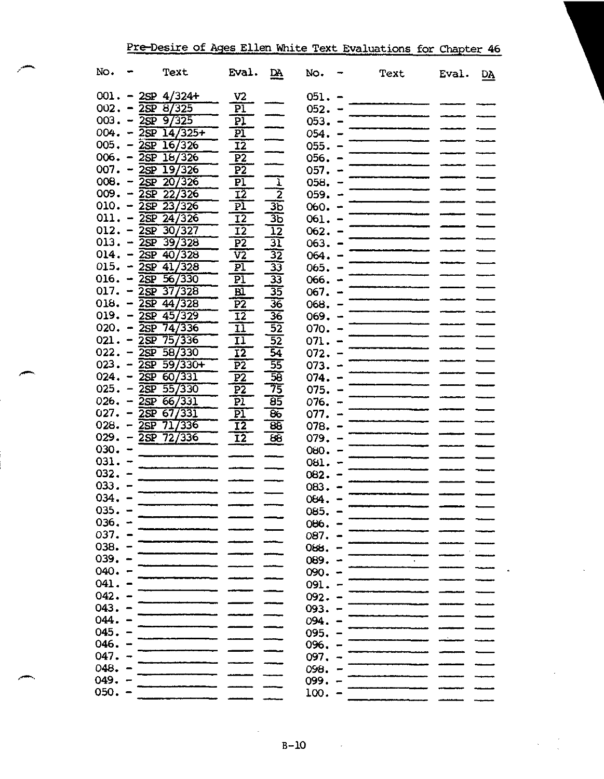| Pre-Desire of Ages Ellen White Text Evaluations for Chapter 46 |  |  |  |
|----------------------------------------------------------------|--|--|--|
|                                                                |  |  |  |

| No.                    |                | Text                              | Eval.           | DA.                        | No.      |                              | Text | Eval. | DĄ |
|------------------------|----------------|-----------------------------------|-----------------|----------------------------|----------|------------------------------|------|-------|----|
|                        |                | $001. - 2SP$ 4/324+               | V <sub>2</sub>  |                            | $051. -$ |                              |      |       |    |
|                        |                | $002. - \overline{2SP} 8/325$     | PÏ              |                            | $052 -$  |                              |      |       |    |
|                        |                | $003. - \overline{2SP}9/325$      | P)              |                            | 053.     | $\qquad \qquad \blacksquare$ |      |       |    |
|                        |                | $004. - \overline{25P \ 14/325+}$ | $\overline{P1}$ |                            | 054.     |                              |      |       |    |
|                        |                | $005. - 2SP 16/326$               | IŽ              |                            | 055.     |                              |      |       |    |
|                        |                | $006. - 2SP 18/326$               | P <sub>2</sub>  |                            | 056.     |                              |      |       |    |
|                        |                | $007. - 25P 19/326$               | $\overline{P2}$ |                            | 057.     |                              |      |       |    |
|                        |                | $008. - 25P 20/326$               | P <sub>1</sub>  | $\mathbf{I}$               | 058.     |                              |      |       |    |
|                        |                | $009 - 25P 22/326$                | 12              | $\overline{\mathbf{2}}$    | 059.     |                              |      |       |    |
|                        |                | $010. - \overline{2sp} 23/326$    | PI              | 3 <sub>b</sub>             | 060.     |                              |      |       |    |
|                        |                | $011. - 2SP 24/326$               | $\overline{12}$ | $\overline{3}\overline{5}$ | 061.     |                              |      |       |    |
|                        |                | $012. - 2SP 30/327$               | $\overline{12}$ | $\overline{12}$            | 062.     |                              |      |       |    |
|                        |                | $013. - \overline{2SP} 39/328$    | $\overline{P2}$ | $\overline{\mathbb{E}}$    | 063.     |                              |      |       |    |
|                        |                | $014. - 2SP \t40/328$             | V <sub>2</sub>  | $\overline{32}$            | 064.     |                              |      |       |    |
|                        |                | $015. - 25P 41/328$               | P1              | $\overline{33}$            | 065.     |                              |      |       |    |
|                        |                | $016. - 2SP 56/330$               | P1              | -33                        | 066.     |                              |      |       |    |
| $017. - 2SP$           |                | 37/328                            | $B\bar{I}$      | $\overline{35}$            | 067.     |                              |      |       |    |
|                        |                | $018. - \overline{2SP}44/328$     | $\overline{P2}$ | $\overline{36}$            | 068.     |                              |      |       |    |
|                        |                | $019. - 2SP$ 45/329               | $\overline{12}$ | $\overline{36}$            | 069.     |                              |      |       |    |
|                        |                | 020. $-$ 2SP 74/336               | 11              | $\overline{52}$            | 070.     |                              |      |       |    |
| $021 - 25P$            |                | 757336                            | 11              | $\overline{52}$            | 071.     |                              |      |       |    |
| $022. - 2SP$           |                | 58/330                            | 12              | 54                         | 072.     |                              |      |       |    |
| $023 - \overline{2SP}$ |                | $-59/330+$                        | P <sub>2</sub>  | 55                         | 073.     |                              |      |       |    |
| 024.                   |                | $-25P$ 60/331                     | P <sub>2</sub>  | $\overline{58}$            | 074.     |                              |      |       |    |
| 025.                   |                | $-25P - 55/330$                   | P <sub>2</sub>  | 75                         | 075.     |                              |      |       |    |
| 026.                   |                | $-25P 66/331$                     | P1              | $\overline{85}$            | 076.     |                              |      |       |    |
| 027.                   |                | 2SP 67/331                        | $\overline{P1}$ | 86                         | 077.     |                              |      |       |    |
| 028.                   |                | $-2SP$ 71/336                     | $\overline{12}$ | 85                         | 078.     |                              |      |       |    |
|                        |                | $029. - 2SP 72/336$               | I2              | 88                         | 079.     |                              |      |       |    |
| $030 -$                |                |                                   |                 |                            | 080.     |                              |      |       |    |
| $031. -$               |                |                                   |                 |                            | 081.     |                              |      |       |    |
| $032 - -$              |                |                                   |                 |                            | 082.     |                              |      |       |    |
| 033.                   |                |                                   |                 |                            | 083.     |                              |      |       |    |
| 034.                   |                |                                   |                 |                            | 084.     |                              |      |       |    |
| $035. -$               |                |                                   |                 |                            | 085.     |                              |      |       |    |
| 036.                   |                |                                   |                 |                            | 086.     |                              |      |       |    |
| 037.                   |                |                                   |                 |                            | 087.     |                              |      |       |    |
| 038.                   | $\blacksquare$ |                                   |                 |                            | $06$ .   |                              |      |       |    |
| 039.                   |                |                                   |                 |                            | 089.     |                              |      |       |    |
| 040.                   |                |                                   |                 |                            | 090.     |                              |      |       |    |
| 041.                   |                |                                   |                 |                            | 091.     |                              |      |       |    |
| 042.                   |                |                                   |                 |                            | 092.     |                              |      |       |    |
| 043.                   |                |                                   |                 |                            | 093.     |                              |      |       |    |
| 044.                   |                |                                   |                 |                            | 094.     |                              |      |       |    |
| 045.                   |                |                                   |                 |                            | 095.     |                              |      |       |    |
| 046.                   |                |                                   |                 |                            | 096.     |                              |      |       |    |
| 047.                   |                |                                   |                 |                            | 097.     |                              |      |       |    |
| 048.                   |                |                                   |                 |                            | 098.     |                              |      |       |    |
| 049.                   |                |                                   |                 |                            | 099.     |                              |      |       |    |
| 050.                   |                |                                   |                 |                            | 100.     |                              |      |       |    |
|                        |                |                                   |                 |                            |          |                              |      |       |    |